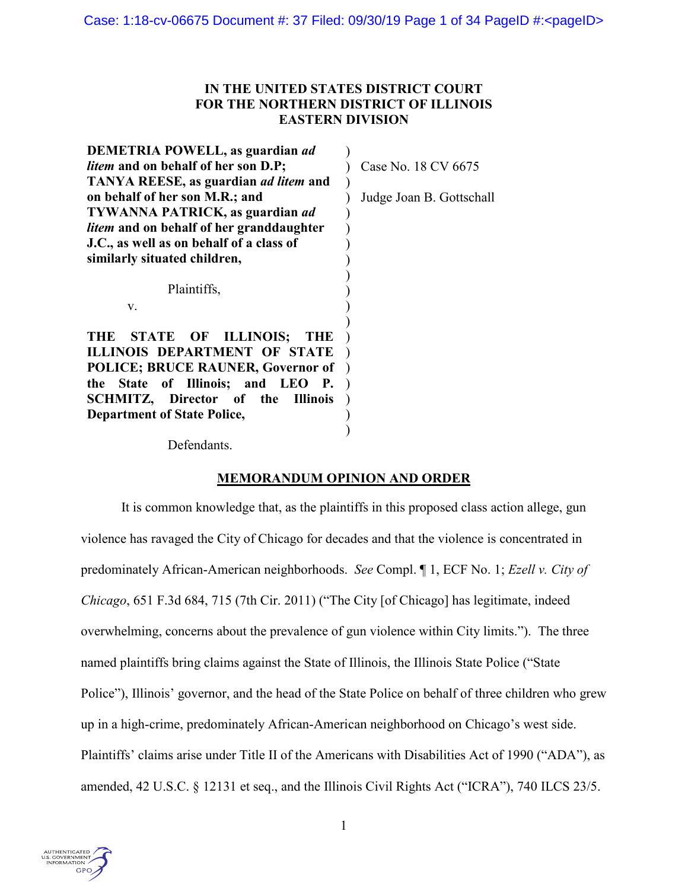# **IN THE UNITED STATES DISTRICT COURT FOR THE NORTHERN DISTRICT OF ILLINOIS EASTERN DIVISION**

| DEMETRIA POWELL, as guardian ad                                                                                                                                                                                                                   |                          |
|---------------------------------------------------------------------------------------------------------------------------------------------------------------------------------------------------------------------------------------------------|--------------------------|
| <i>litem</i> and on behalf of her son D.P;                                                                                                                                                                                                        | Case No. 18 CV 6675      |
| <b>TANYA REESE, as guardian <i>ad litem</i></b> and                                                                                                                                                                                               |                          |
| on behalf of her son M.R.; and                                                                                                                                                                                                                    | Judge Joan B. Gottschall |
| <b>TYWANNA PATRICK, as guardian ad</b>                                                                                                                                                                                                            |                          |
| <i>litem</i> and on behalf of her granddaughter                                                                                                                                                                                                   |                          |
| J.C., as well as on behalf of a class of                                                                                                                                                                                                          |                          |
| similarly situated children,                                                                                                                                                                                                                      |                          |
| Plaintiffs,<br>V.                                                                                                                                                                                                                                 |                          |
| STATE OF ILLINOIS;<br>THE<br><b>THE</b><br>ILLINOIS DEPARTMENT OF STATE<br><b>POLICE; BRUCE RAUNER, Governor of</b><br>the State of Illinois; and LEO<br>-Р.<br>SCHMITZ, Director of the<br><b>Illinois</b><br><b>Department of State Police,</b> |                          |

Defendants.

# **MEMORANDUM OPINION AND ORDER**

It is common knowledge that, as the plaintiffs in this proposed class action allege, gun violence has ravaged the City of Chicago for decades and that the violence is concentrated in predominately African-American neighborhoods. *See* Compl. ¶ 1, ECF No. 1; *Ezell v. City of Chicago*, 651 F.3d 684, 715 (7th Cir. 2011) ("The City [of Chicago] has legitimate, indeed overwhelming, concerns about the prevalence of gun violence within City limits."). The three named plaintiffs bring claims against the State of Illinois, the Illinois State Police ("State Police"), Illinois' governor, and the head of the State Police on behalf of three children who grew up in a high-crime, predominately African-American neighborhood on Chicago's west side. Plaintiffs' claims arise under Title II of the Americans with Disabilities Act of 1990 ("ADA"), as amended, 42 U.S.C. § 12131 et seq., and the Illinois Civil Rights Act ("ICRA"), 740 ILCS 23/5.

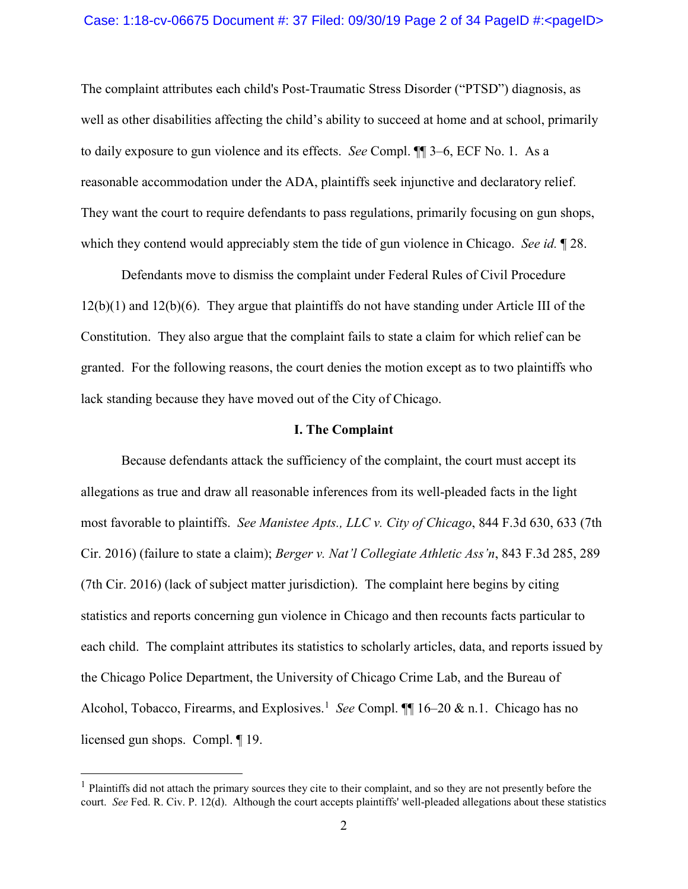### Case: 1:18-cv-06675 Document #: 37 Filed: 09/30/19 Page 2 of 34 PageID #:<pageID>

The complaint attributes each child's Post-Traumatic Stress Disorder ("PTSD") diagnosis, as well as other disabilities affecting the child's ability to succeed at home and at school, primarily to daily exposure to gun violence and its effects. *See* Compl. ¶¶ 3–6, ECF No. 1. As a reasonable accommodation under the ADA, plaintiffs seek injunctive and declaratory relief. They want the court to require defendants to pass regulations, primarily focusing on gun shops, which they contend would appreciably stem the tide of gun violence in Chicago. *See id.* ¶ 28.

Defendants move to dismiss the complaint under Federal Rules of Civil Procedure 12(b)(1) and 12(b)(6). They argue that plaintiffs do not have standing under Article III of the Constitution. They also argue that the complaint fails to state a claim for which relief can be granted. For the following reasons, the court denies the motion except as to two plaintiffs who lack standing because they have moved out of the City of Chicago.

### **I. The Complaint**

Because defendants attack the sufficiency of the complaint, the court must accept its allegations as true and draw all reasonable inferences from its well-pleaded facts in the light most favorable to plaintiffs. *See Manistee Apts., LLC v. City of Chicago*, 844 F.3d 630, 633 (7th Cir. 2016) (failure to state a claim); *Berger v. Nat'l Collegiate Athletic Ass'n*, 843 F.3d 285, 289 (7th Cir. 2016) (lack of subject matter jurisdiction). The complaint here begins by citing statistics and reports concerning gun violence in Chicago and then recounts facts particular to each child. The complaint attributes its statistics to scholarly articles, data, and reports issued by the Chicago Police Department, the University of Chicago Crime Lab, and the Bureau of Alcohol, Tobacco, Firearms, and Explosives.<sup>[1](#page-1-0)</sup> See Compl. 116–20 & n.1. Chicago has no licensed gun shops. Compl. ¶ 19.

<span id="page-1-0"></span> $<sup>1</sup>$  Plaintiffs did not attach the primary sources they cite to their complaint, and so they are not presently before the</sup> court. *See* Fed. R. Civ. P. 12(d). Although the court accepts plaintiffs' well-pleaded allegations about these statistics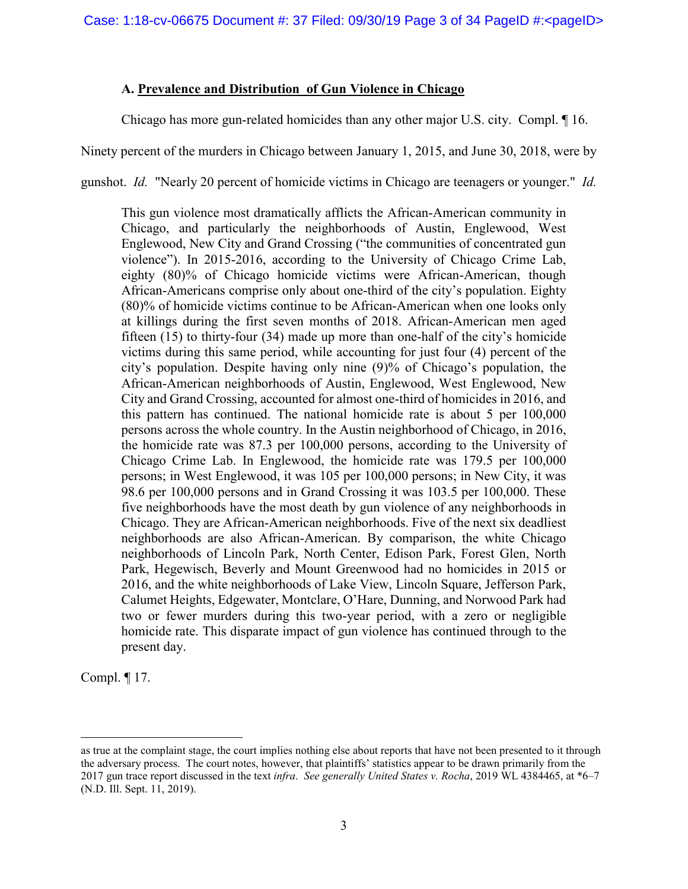# **A. Prevalence and Distribution of Gun Violence in Chicago**

Chicago has more gun-related homicides than any other major U.S. city. Compl. ¶ 16.

Ninety percent of the murders in Chicago between January 1, 2015, and June 30, 2018, were by

gunshot. *Id.* "Nearly 20 percent of homicide victims in Chicago are teenagers or younger." *Id.*

This gun violence most dramatically afflicts the African-American community in Chicago, and particularly the neighborhoods of Austin, Englewood, West Englewood, New City and Grand Crossing ("the communities of concentrated gun violence"). In 2015-2016, according to the University of Chicago Crime Lab, eighty (80)% of Chicago homicide victims were African-American, though African-Americans comprise only about one-third of the city's population. Eighty (80)% of homicide victims continue to be African-American when one looks only at killings during the first seven months of 2018. African-American men aged fifteen (15) to thirty-four (34) made up more than one-half of the city's homicide victims during this same period, while accounting for just four (4) percent of the city's population. Despite having only nine (9)% of Chicago's population, the African-American neighborhoods of Austin, Englewood, West Englewood, New City and Grand Crossing, accounted for almost one-third of homicides in 2016, and this pattern has continued. The national homicide rate is about 5 per 100,000 persons across the whole country. In the Austin neighborhood of Chicago, in 2016, the homicide rate was 87.3 per 100,000 persons, according to the University of Chicago Crime Lab. In Englewood, the homicide rate was 179.5 per 100,000 persons; in West Englewood, it was 105 per 100,000 persons; in New City, it was 98.6 per 100,000 persons and in Grand Crossing it was 103.5 per 100,000. These five neighborhoods have the most death by gun violence of any neighborhoods in Chicago. They are African-American neighborhoods. Five of the next six deadliest neighborhoods are also African-American. By comparison, the white Chicago neighborhoods of Lincoln Park, North Center, Edison Park, Forest Glen, North Park, Hegewisch, Beverly and Mount Greenwood had no homicides in 2015 or 2016, and the white neighborhoods of Lake View, Lincoln Square, Jefferson Park, Calumet Heights, Edgewater, Montclare, O'Hare, Dunning, and Norwood Park had two or fewer murders during this two-year period, with a zero or negligible homicide rate. This disparate impact of gun violence has continued through to the present day.

Compl. ¶ 17.

 $\overline{a}$ 

as true at the complaint stage, the court implies nothing else about reports that have not been presented to it through the adversary process. The court notes, however, that plaintiffs' statistics appear to be drawn primarily from the 2017 gun trace report discussed in the text *infra*. *See generally United States v. Rocha*, 2019 WL 4384465, at \*6–7 (N.D. Ill. Sept. 11, 2019).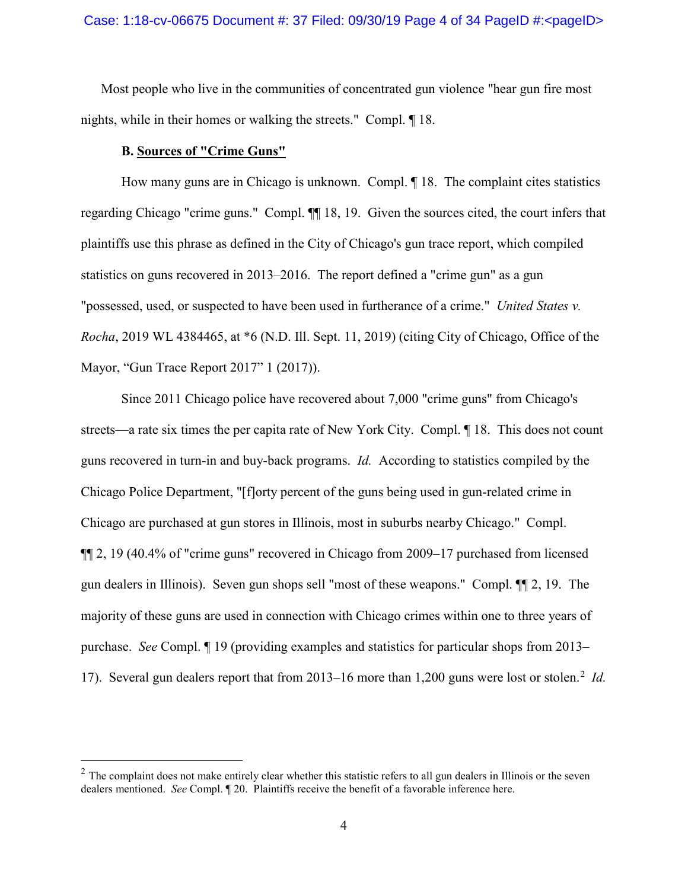### Case: 1:18-cv-06675 Document #: 37 Filed: 09/30/19 Page 4 of 34 PageID #:<pageID>

Most people who live in the communities of concentrated gun violence "hear gun fire most nights, while in their homes or walking the streets." Compl. ¶ 18.

### **B. Sources of "Crime Guns"**

How many guns are in Chicago is unknown. Compl. ¶ 18. The complaint cites statistics regarding Chicago "crime guns." Compl. ¶¶ 18, 19. Given the sources cited, the court infers that plaintiffs use this phrase as defined in the City of Chicago's gun trace report, which compiled statistics on guns recovered in 2013–2016. The report defined a "crime gun" as a gun "possessed, used, or suspected to have been used in furtherance of a crime." *United States v. Rocha*, 2019 WL 4384465, at \*6 (N.D. Ill. Sept. 11, 2019) (citing City of Chicago, Office of the Mayor, "Gun Trace Report 2017" 1 (2017)).

Since 2011 Chicago police have recovered about 7,000 "crime guns" from Chicago's streets—a rate six times the per capita rate of New York City. Compl. ¶ 18. This does not count guns recovered in turn-in and buy-back programs. *Id.* According to statistics compiled by the Chicago Police Department, "[f]orty percent of the guns being used in gun-related crime in Chicago are purchased at gun stores in Illinois, most in suburbs nearby Chicago." Compl. ¶¶ 2, 19 (40.4% of "crime guns" recovered in Chicago from 2009–17 purchased from licensed gun dealers in Illinois). Seven gun shops sell "most of these weapons." Compl. ¶¶ 2, 19. The majority of these guns are used in connection with Chicago crimes within one to three years of purchase. *See* Compl. ¶ 19 (providing examples and statistics for particular shops from 2013– 17). Several gun dealers report that from [2](#page-3-0)013–16 more than 1,200 guns were lost or stolen.<sup>2</sup> Id.

<span id="page-3-0"></span> $2$  The complaint does not make entirely clear whether this statistic refers to all gun dealers in Illinois or the seven dealers mentioned. *See* Compl. ¶ 20. Plaintiffs receive the benefit of a favorable inference here.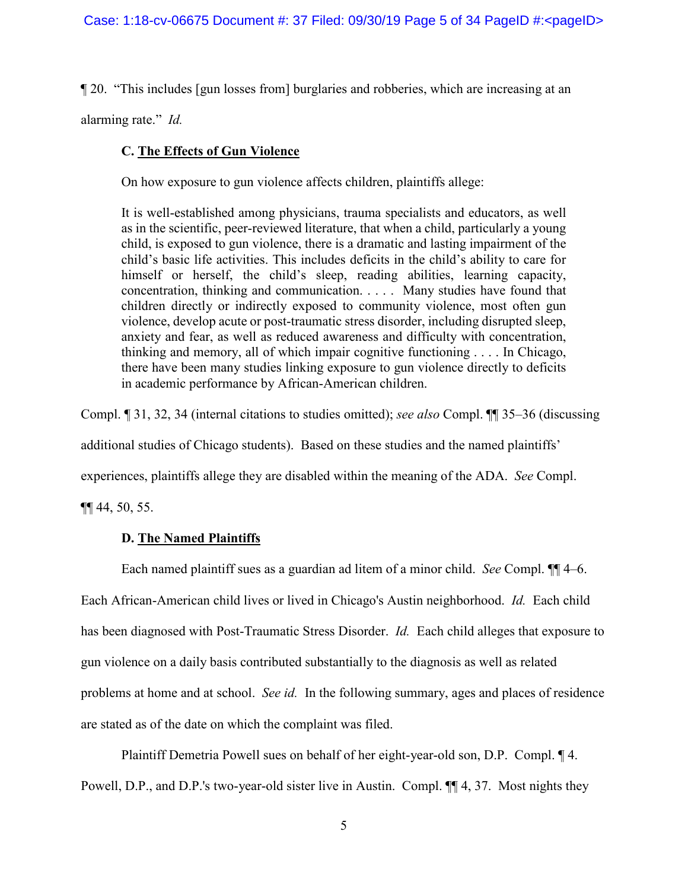¶ 20. "This includes [gun losses from] burglaries and robberies, which are increasing at an

alarming rate." *Id.*

# **C. The Effects of Gun Violence**

On how exposure to gun violence affects children, plaintiffs allege:

It is well-established among physicians, trauma specialists and educators, as well as in the scientific, peer-reviewed literature, that when a child, particularly a young child, is exposed to gun violence, there is a dramatic and lasting impairment of the child's basic life activities. This includes deficits in the child's ability to care for himself or herself, the child's sleep, reading abilities, learning capacity, concentration, thinking and communication. . . . . Many studies have found that children directly or indirectly exposed to community violence, most often gun violence, develop acute or post-traumatic stress disorder, including disrupted sleep, anxiety and fear, as well as reduced awareness and difficulty with concentration, thinking and memory, all of which impair cognitive functioning . . . . In Chicago, there have been many studies linking exposure to gun violence directly to deficits in academic performance by African-American children.

Compl. ¶ 31, 32, 34 (internal citations to studies omitted); *see also* Compl. ¶¶ 35–36 (discussing

additional studies of Chicago students). Based on these studies and the named plaintiffs'

experiences, plaintiffs allege they are disabled within the meaning of the ADA. *See* Compl.

¶¶ 44, 50, 55.

# **D. The Named Plaintiffs**

Each named plaintiff sues as a guardian ad litem of a minor child. *See* Compl. ¶¶ 4–6. Each African-American child lives or lived in Chicago's Austin neighborhood. *Id.* Each child has been diagnosed with Post-Traumatic Stress Disorder. *Id.* Each child alleges that exposure to gun violence on a daily basis contributed substantially to the diagnosis as well as related problems at home and at school. *See id.* In the following summary, ages and places of residence are stated as of the date on which the complaint was filed.

Plaintiff Demetria Powell sues on behalf of her eight-year-old son, D.P. Compl. ¶ 4. Powell, D.P., and D.P.'s two-year-old sister live in Austin. Compl. ¶¶ 4, 37. Most nights they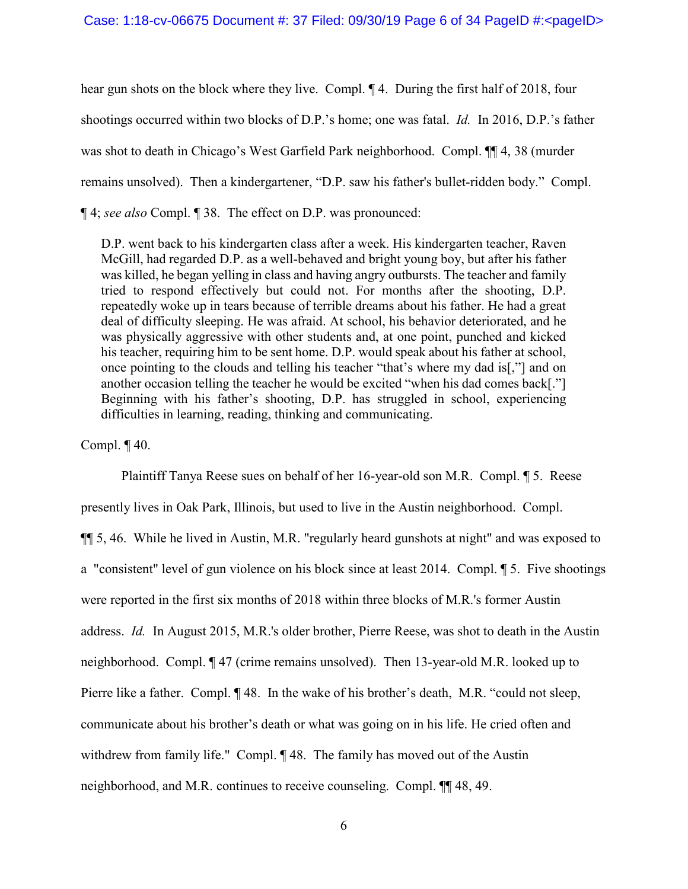hear gun shots on the block where they live. Compl. ¶ 4. During the first half of 2018, four shootings occurred within two blocks of D.P.'s home; one was fatal. *Id.* In 2016, D.P.'s father was shot to death in Chicago's West Garfield Park neighborhood. Compl. ¶¶ 4, 38 (murder remains unsolved). Then a kindergartener, "D.P. saw his father's bullet-ridden body." Compl. ¶ 4; *see also* Compl. ¶ 38. The effect on D.P. was pronounced:

D.P. went back to his kindergarten class after a week. His kindergarten teacher, Raven McGill, had regarded D.P. as a well-behaved and bright young boy, but after his father was killed, he began yelling in class and having angry outbursts. The teacher and family tried to respond effectively but could not. For months after the shooting, D.P. repeatedly woke up in tears because of terrible dreams about his father. He had a great deal of difficulty sleeping. He was afraid. At school, his behavior deteriorated, and he was physically aggressive with other students and, at one point, punched and kicked his teacher, requiring him to be sent home. D.P. would speak about his father at school, once pointing to the clouds and telling his teacher "that's where my dad is[,"] and on another occasion telling the teacher he would be excited "when his dad comes back[."] Beginning with his father's shooting, D.P. has struggled in school, experiencing difficulties in learning, reading, thinking and communicating.

Compl.  $\P$  40.

Plaintiff Tanya Reese sues on behalf of her 16-year-old son M.R. Compl. ¶ 5. Reese presently lives in Oak Park, Illinois, but used to live in the Austin neighborhood. Compl. ¶¶ 5, 46. While he lived in Austin, M.R. "regularly heard gunshots at night" and was exposed to a "consistent" level of gun violence on his block since at least 2014. Compl. ¶ 5. Five shootings were reported in the first six months of 2018 within three blocks of M.R.'s former Austin address. *Id.* In August 2015, M.R.'s older brother, Pierre Reese, was shot to death in the Austin neighborhood. Compl. ¶ 47 (crime remains unsolved). Then 13-year-old M.R. looked up to Pierre like a father. Compl. ¶ 48. In the wake of his brother's death, M.R. "could not sleep, communicate about his brother's death or what was going on in his life. He cried often and withdrew from family life." Compl. ¶ 48. The family has moved out of the Austin neighborhood, and M.R. continues to receive counseling. Compl. ¶¶ 48, 49.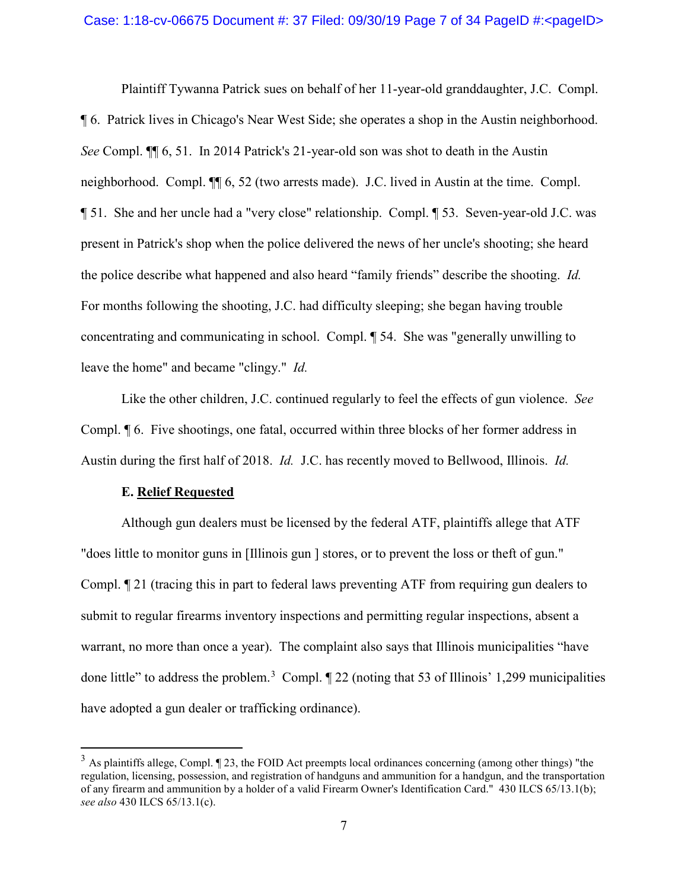Plaintiff Tywanna Patrick sues on behalf of her 11-year-old granddaughter, J.C. Compl. ¶ 6. Patrick lives in Chicago's Near West Side; she operates a shop in the Austin neighborhood. *See* Compl. ¶¶ 6, 51. In 2014 Patrick's 21-year-old son was shot to death in the Austin neighborhood. Compl. ¶¶ 6, 52 (two arrests made). J.C. lived in Austin at the time. Compl. ¶ 51. She and her uncle had a "very close" relationship. Compl. ¶ 53. Seven-year-old J.C. was present in Patrick's shop when the police delivered the news of her uncle's shooting; she heard the police describe what happened and also heard "family friends" describe the shooting. *Id.* For months following the shooting, J.C. had difficulty sleeping; she began having trouble concentrating and communicating in school. Compl. ¶ 54. She was "generally unwilling to leave the home" and became "clingy." *Id.*

Like the other children, J.C. continued regularly to feel the effects of gun violence. *See* Compl. ¶ 6. Five shootings, one fatal, occurred within three blocks of her former address in Austin during the first half of 2018. *Id.* J.C. has recently moved to Bellwood, Illinois. *Id.*

#### **E. Relief Requested**

Although gun dealers must be licensed by the federal ATF, plaintiffs allege that ATF "does little to monitor guns in [Illinois gun ] stores, or to prevent the loss or theft of gun." Compl. ¶ 21 (tracing this in part to federal laws preventing ATF from requiring gun dealers to submit to regular firearms inventory inspections and permitting regular inspections, absent a warrant, no more than once a year). The complaint also says that Illinois municipalities "have done little" to address the problem.<sup>[3](#page-6-0)</sup> Compl.  $\P$  22 (noting that 53 of Illinois' 1,299 municipalities have adopted a gun dealer or trafficking ordinance).

<span id="page-6-0"></span> $3$  As plaintiffs allege, Compl.  $\P$  23, the FOID Act preempts local ordinances concerning (among other things) "the regulation, licensing, possession, and registration of handguns and ammunition for a handgun, and the transportation of any firearm and ammunition by a holder of a valid Firearm Owner's Identification Card." 430 ILCS 65/13.1(b); *see also* 430 ILCS 65/13.1(c).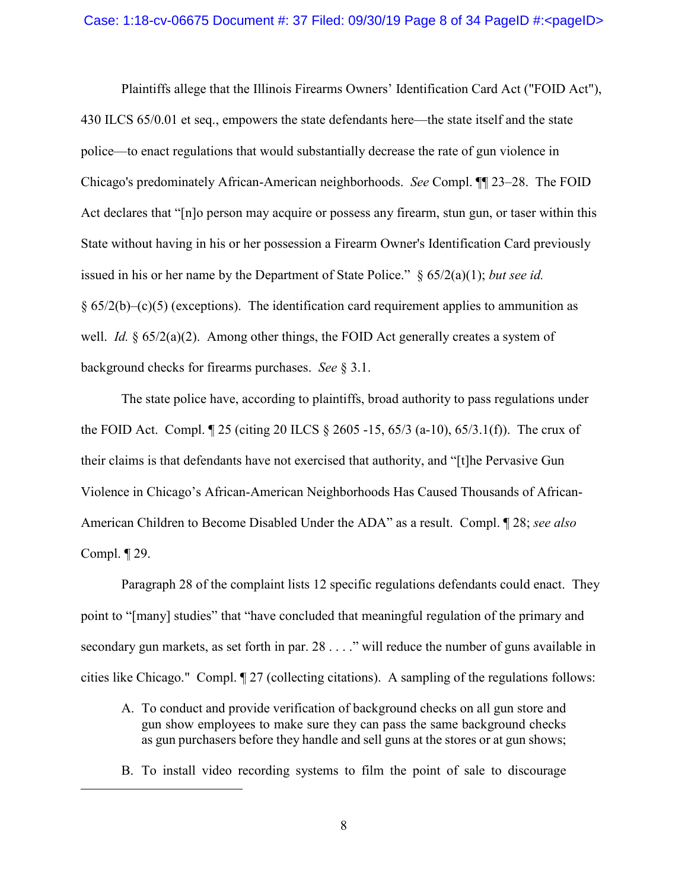Plaintiffs allege that the Illinois Firearms Owners' Identification Card Act ("FOID Act"), 430 ILCS 65/0.01 et seq., empowers the state defendants here—the state itself and the state police—to enact regulations that would substantially decrease the rate of gun violence in Chicago's predominately African-American neighborhoods. *See* Compl. ¶¶ 23–28. The FOID Act declares that "[n]o person may acquire or possess any firearm, stun gun, or taser within this State without having in his or her possession a Firearm Owner's Identification Card previously issued in his or her name by the Department of State Police." § 65/2(a)(1); *but see id.*  $§ 65/2(b) - (c)(5)$  (exceptions). The identification card requirement applies to ammunition as well. *Id.* § 65/2(a)(2). Among other things, the FOID Act generally creates a system of background checks for firearms purchases. *See* § 3.1.

The state police have, according to plaintiffs, broad authority to pass regulations under the FOID Act. Compl. ¶ 25 (citing 20 ILCS § 2605 -15, 65/3 (a-10), 65/3.1(f)). The crux of their claims is that defendants have not exercised that authority, and "[t]he Pervasive Gun Violence in Chicago's African-American Neighborhoods Has Caused Thousands of African-American Children to Become Disabled Under the ADA" as a result. Compl. ¶ 28; *see also* Compl. ¶ 29.

Paragraph 28 of the complaint lists 12 specific regulations defendants could enact. They point to "[many] studies" that "have concluded that meaningful regulation of the primary and secondary gun markets, as set forth in par. 28 . . . ." will reduce the number of guns available in cities like Chicago." Compl. ¶ 27 (collecting citations). A sampling of the regulations follows:

- A. To conduct and provide verification of background checks on all gun store and gun show employees to make sure they can pass the same background checks as gun purchasers before they handle and sell guns at the stores or at gun shows;
- B. To install video recording systems to film the point of sale to discourage

 $\overline{a}$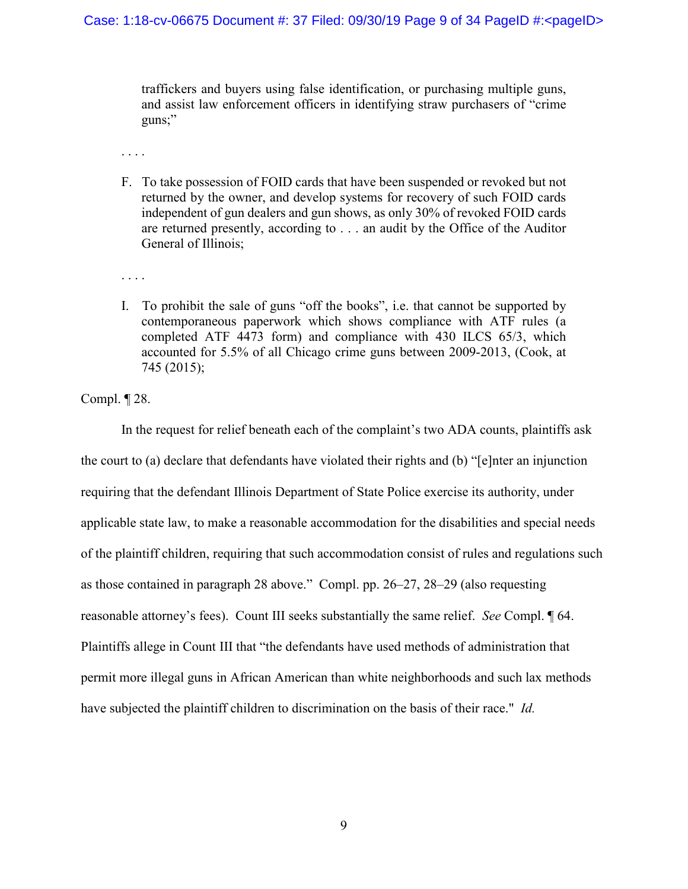traffickers and buyers using false identification, or purchasing multiple guns, and assist law enforcement officers in identifying straw purchasers of "crime guns;"

. . . .

F. To take possession of FOID cards that have been suspended or revoked but not returned by the owner, and develop systems for recovery of such FOID cards independent of gun dealers and gun shows, as only 30% of revoked FOID cards are returned presently, according to . . . an audit by the Office of the Auditor General of Illinois;

. . . .

I. To prohibit the sale of guns "off the books", i.e. that cannot be supported by contemporaneous paperwork which shows compliance with ATF rules (a completed ATF 4473 form) and compliance with 430 ILCS 65/3, which accounted for 5.5% of all Chicago crime guns between 2009-2013, (Cook, at 745 (2015);

Compl. ¶ 28.

In the request for relief beneath each of the complaint's two ADA counts, plaintiffs ask the court to (a) declare that defendants have violated their rights and (b) "[e]nter an injunction requiring that the defendant Illinois Department of State Police exercise its authority, under applicable state law, to make a reasonable accommodation for the disabilities and special needs of the plaintiff children, requiring that such accommodation consist of rules and regulations such as those contained in paragraph 28 above." Compl. pp. 26–27, 28–29 (also requesting reasonable attorney's fees). Count III seeks substantially the same relief. *See* Compl. ¶ 64. Plaintiffs allege in Count III that "the defendants have used methods of administration that permit more illegal guns in African American than white neighborhoods and such lax methods have subjected the plaintiff children to discrimination on the basis of their race." *Id.*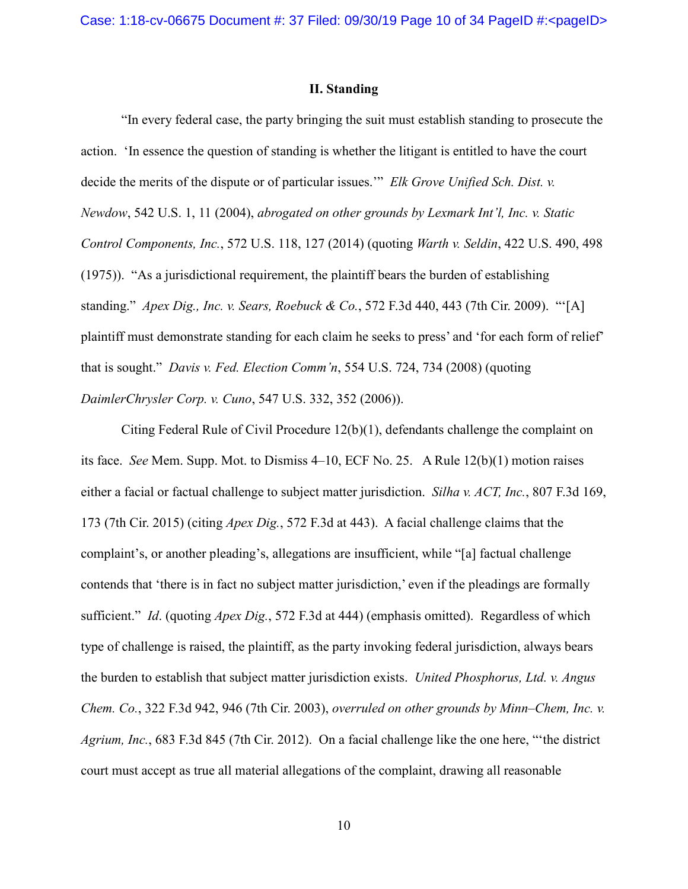### **II. Standing**

"In every federal case, the party bringing the suit must establish standing to prosecute the action. 'In essence the question of standing is whether the litigant is entitled to have the court decide the merits of the dispute or of particular issues.'" *Elk Grove Unified Sch. Dist. v. Newdow*, 542 U.S. 1, 11 (2004), *abrogated on other grounds by Lexmark Int'l, Inc. v. Static Control Components, Inc.*, 572 U.S. 118, 127 (2014) (quoting *Warth v. Seldin*, 422 U.S. 490, 498 (1975)). "As a jurisdictional requirement, the plaintiff bears the burden of establishing standing." *Apex Dig., Inc. v. Sears, Roebuck & Co.*, 572 F.3d 440, 443 (7th Cir. 2009). "'[A] plaintiff must demonstrate standing for each claim he seeks to press' and 'for each form of relief' that is sought." *Davis v. Fed. Election Comm'n*, 554 U.S. 724, 734 (2008) (quoting *DaimlerChrysler Corp. v. Cuno*, 547 U.S. 332, 352 (2006)).

Citing Federal Rule of Civil Procedure  $12(b)(1)$ , defendants challenge the complaint on its face. *See* Mem. Supp. Mot. to Dismiss 4–10, ECF No. 25. A Rule 12(b)(1) motion raises either a facial or factual challenge to subject matter jurisdiction. *Silha v. ACT, Inc.*, 807 F.3d 169, 173 (7th Cir. 2015) (citing *Apex Dig.*, 572 F.3d at 443). A facial challenge claims that the complaint's, or another pleading's, allegations are insufficient, while "[a] factual challenge contends that 'there is in fact no subject matter jurisdiction,' even if the pleadings are formally sufficient." *Id*. (quoting *Apex Dig.*, 572 F.3d at 444) (emphasis omitted). Regardless of which type of challenge is raised, the plaintiff, as the party invoking federal jurisdiction, always bears the burden to establish that subject matter jurisdiction exists. *United Phosphorus, Ltd. v. Angus Chem. Co.*, 322 F.3d 942, 946 (7th Cir. 2003), *overruled on other grounds by Minn–Chem, Inc. v. Agrium, Inc.*, 683 F.3d 845 (7th Cir. 2012). On a facial challenge like the one here, "'the district court must accept as true all material allegations of the complaint, drawing all reasonable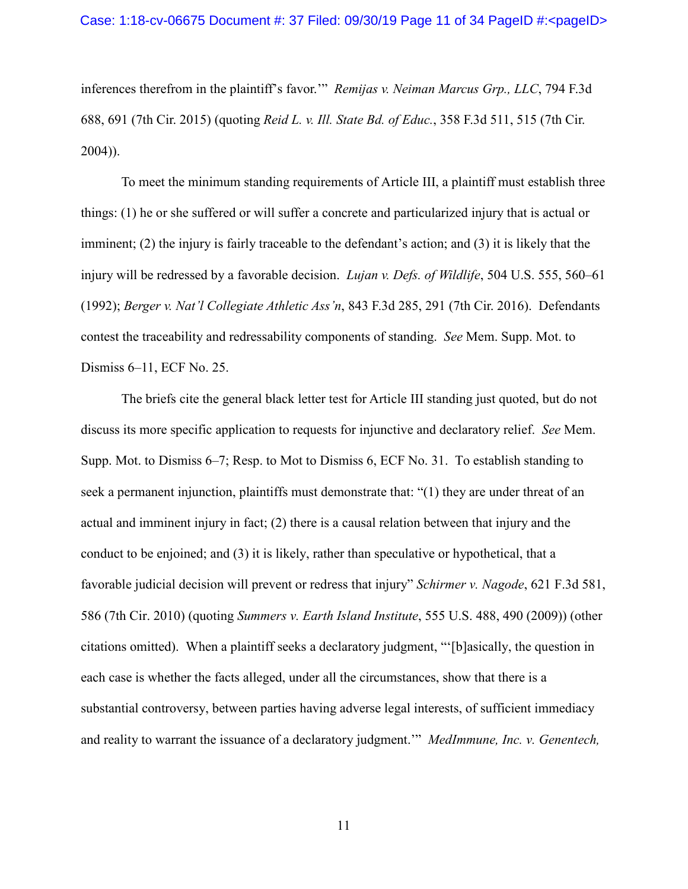inferences therefrom in the plaintiff's favor.'" *Remijas v. Neiman Marcus Grp., LLC*, 794 F.3d 688, 691 (7th Cir. 2015) (quoting *Reid L. v. Ill. State Bd. of Educ.*, 358 F.3d 511, 515 (7th Cir. 2004)).

To meet the minimum standing requirements of Article III, a plaintiff must establish three things: (1) he or she suffered or will suffer a concrete and particularized injury that is actual or imminent; (2) the injury is fairly traceable to the defendant's action; and (3) it is likely that the injury will be redressed by a favorable decision. *Lujan v. Defs. of Wildlife*, 504 U.S. 555, 560–61 (1992); *Berger v. Nat'l Collegiate Athletic Ass'n*, 843 F.3d 285, 291 (7th Cir. 2016). Defendants contest the traceability and redressability components of standing. *See* Mem. Supp. Mot. to Dismiss 6–11, ECF No. 25.

The briefs cite the general black letter test for Article III standing just quoted, but do not discuss its more specific application to requests for injunctive and declaratory relief. *See* Mem. Supp. Mot. to Dismiss 6–7; Resp. to Mot to Dismiss 6, ECF No. 31. To establish standing to seek a permanent injunction, plaintiffs must demonstrate that: "(1) they are under threat of an actual and imminent injury in fact; (2) there is a causal relation between that injury and the conduct to be enjoined; and (3) it is likely, rather than speculative or hypothetical, that a favorable judicial decision will prevent or redress that injury" *Schirmer v. Nagode*, 621 F.3d 581, 586 (7th Cir. 2010) (quoting *Summers v. Earth Island Institute*, 555 U.S. 488, 490 (2009)) (other citations omitted). When a plaintiff seeks a declaratory judgment, "'[b]asically, the question in each case is whether the facts alleged, under all the circumstances, show that there is a substantial controversy, between parties having adverse legal interests, of sufficient immediacy and reality to warrant the issuance of a declaratory judgment.'" *MedImmune, Inc. v. Genentech,*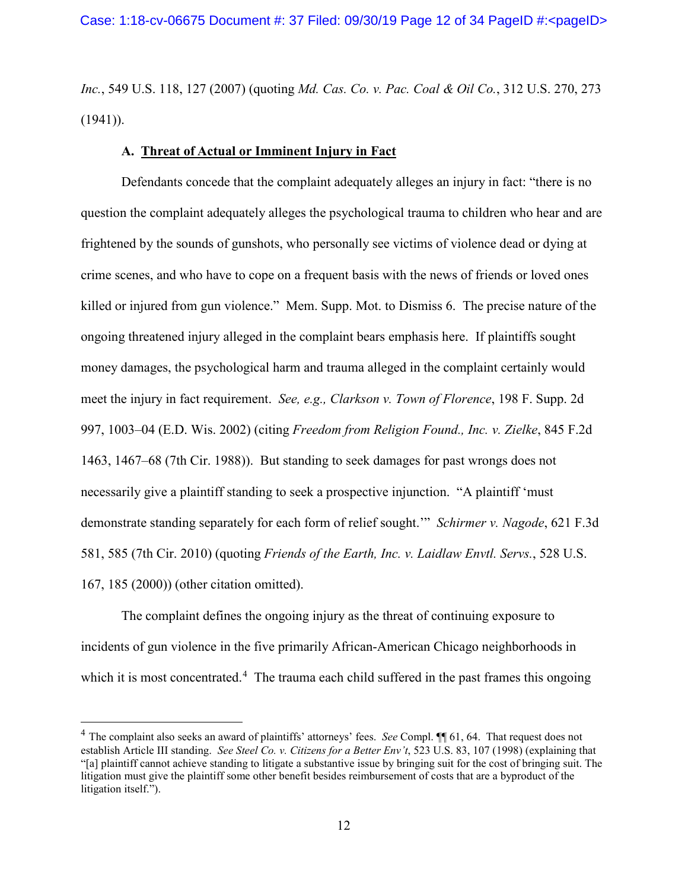*Inc.*, 549 U.S. 118, 127 (2007) (quoting *Md. Cas. Co. v. Pac. Coal & Oil Co.*, 312 U.S. 270, 273  $(1941)$ ).

# **A. Threat of Actual or Imminent Injury in Fact**

Defendants concede that the complaint adequately alleges an injury in fact: "there is no question the complaint adequately alleges the psychological trauma to children who hear and are frightened by the sounds of gunshots, who personally see victims of violence dead or dying at crime scenes, and who have to cope on a frequent basis with the news of friends or loved ones killed or injured from gun violence." Mem. Supp. Mot. to Dismiss 6. The precise nature of the ongoing threatened injury alleged in the complaint bears emphasis here. If plaintiffs sought money damages, the psychological harm and trauma alleged in the complaint certainly would meet the injury in fact requirement. *See, e.g., Clarkson v. Town of Florence*, 198 F. Supp. 2d 997, 1003–04 (E.D. Wis. 2002) (citing *Freedom from Religion Found., Inc. v. Zielke*, 845 F.2d 1463, 1467–68 (7th Cir. 1988)). But standing to seek damages for past wrongs does not necessarily give a plaintiff standing to seek a prospective injunction. "A plaintiff 'must demonstrate standing separately for each form of relief sought.'" *Schirmer v. Nagode*, 621 F.3d 581, 585 (7th Cir. 2010) (quoting *Friends of the Earth, Inc. v. Laidlaw Envtl. Servs.*, 528 U.S. 167, 185 (2000)) (other citation omitted).

The complaint defines the ongoing injury as the threat of continuing exposure to incidents of gun violence in the five primarily African-American Chicago neighborhoods in which it is most concentrated.<sup>[4](#page-11-0)</sup> The trauma each child suffered in the past frames this ongoing

<span id="page-11-0"></span> <sup>4</sup> The complaint also seeks an award of plaintiffs' attorneys' fees. *See* Compl. ¶¶ 61, 64. That request does not establish Article III standing. *See Steel Co. v. Citizens for a Better Env't*, 523 U.S. 83, 107 (1998) (explaining that "[a] plaintiff cannot achieve standing to litigate a substantive issue by bringing suit for the cost of bringing suit. The litigation must give the plaintiff some other benefit besides reimbursement of costs that are a byproduct of the litigation itself.").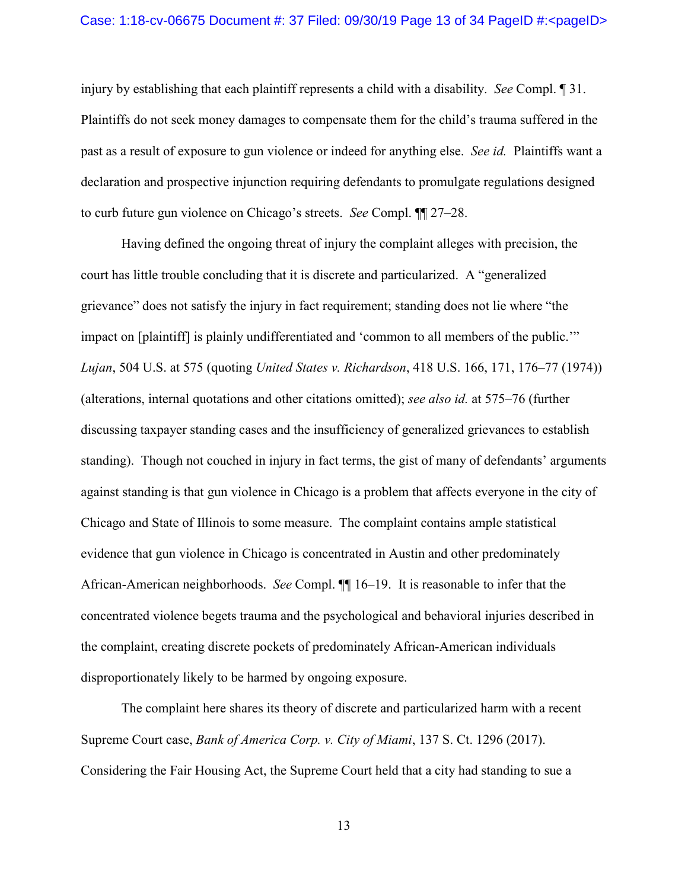injury by establishing that each plaintiff represents a child with a disability. *See* Compl. ¶ 31. Plaintiffs do not seek money damages to compensate them for the child's trauma suffered in the past as a result of exposure to gun violence or indeed for anything else. *See id.* Plaintiffs want a declaration and prospective injunction requiring defendants to promulgate regulations designed to curb future gun violence on Chicago's streets. *See* Compl. ¶¶ 27–28.

Having defined the ongoing threat of injury the complaint alleges with precision, the court has little trouble concluding that it is discrete and particularized. A "generalized grievance" does not satisfy the injury in fact requirement; standing does not lie where "the impact on [plaintiff] is plainly undifferentiated and 'common to all members of the public.'" *Lujan*, 504 U.S. at 575 (quoting *United States v. Richardson*, 418 U.S. 166, 171, 176–77 (1974)) (alterations, internal quotations and other citations omitted); *see also id.* at 575–76 (further discussing taxpayer standing cases and the insufficiency of generalized grievances to establish standing). Though not couched in injury in fact terms, the gist of many of defendants' arguments against standing is that gun violence in Chicago is a problem that affects everyone in the city of Chicago and State of Illinois to some measure. The complaint contains ample statistical evidence that gun violence in Chicago is concentrated in Austin and other predominately African-American neighborhoods. *See* Compl. ¶¶ 16–19. It is reasonable to infer that the concentrated violence begets trauma and the psychological and behavioral injuries described in the complaint, creating discrete pockets of predominately African-American individuals disproportionately likely to be harmed by ongoing exposure.

The complaint here shares its theory of discrete and particularized harm with a recent Supreme Court case, *Bank of America Corp. v. City of Miami*, 137 S. Ct. 1296 (2017). Considering the Fair Housing Act, the Supreme Court held that a city had standing to sue a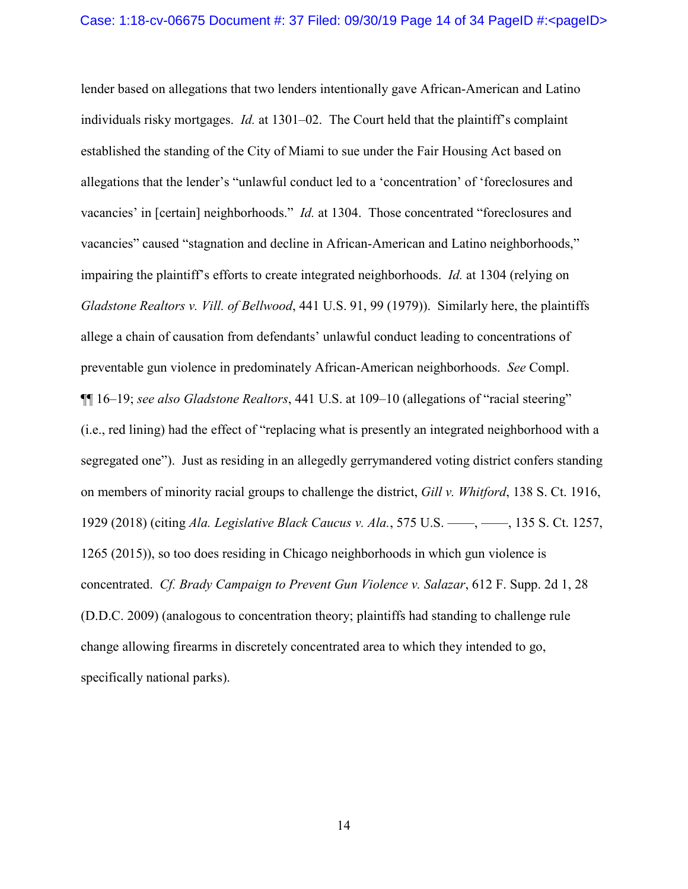lender based on allegations that two lenders intentionally gave African-American and Latino individuals risky mortgages. *Id.* at 1301–02. The Court held that the plaintiff's complaint established the standing of the City of Miami to sue under the Fair Housing Act based on allegations that the lender's "unlawful conduct led to a 'concentration' of 'foreclosures and vacancies' in [certain] neighborhoods." *Id.* at 1304. Those concentrated "foreclosures and vacancies" caused "stagnation and decline in African-American and Latino neighborhoods," impairing the plaintiff's efforts to create integrated neighborhoods. *Id.* at 1304 (relying on *Gladstone Realtors v. Vill. of Bellwood*, 441 U.S. 91, 99 (1979)). Similarly here, the plaintiffs allege a chain of causation from defendants' unlawful conduct leading to concentrations of preventable gun violence in predominately African-American neighborhoods. *See* Compl. ¶¶ 16–19; *see also Gladstone Realtors*, 441 U.S. at 109–10 (allegations of "racial steering" (i.e., red lining) had the effect of "replacing what is presently an integrated neighborhood with a segregated one"). Just as residing in an allegedly gerrymandered voting district confers standing on members of minority racial groups to challenge the district, *Gill v. Whitford*, 138 S. Ct. 1916, 1929 (2018) (citing *Ala. Legislative Black Caucus v. Ala.*, 575 U.S. ––––, ––––, 135 S. Ct. 1257, 1265 (2015)), so too does residing in Chicago neighborhoods in which gun violence is concentrated. *Cf. Brady Campaign to Prevent Gun Violence v. Salazar*, 612 F. Supp. 2d 1, 28 (D.D.C. 2009) (analogous to concentration theory; plaintiffs had standing to challenge rule change allowing firearms in discretely concentrated area to which they intended to go, specifically national parks).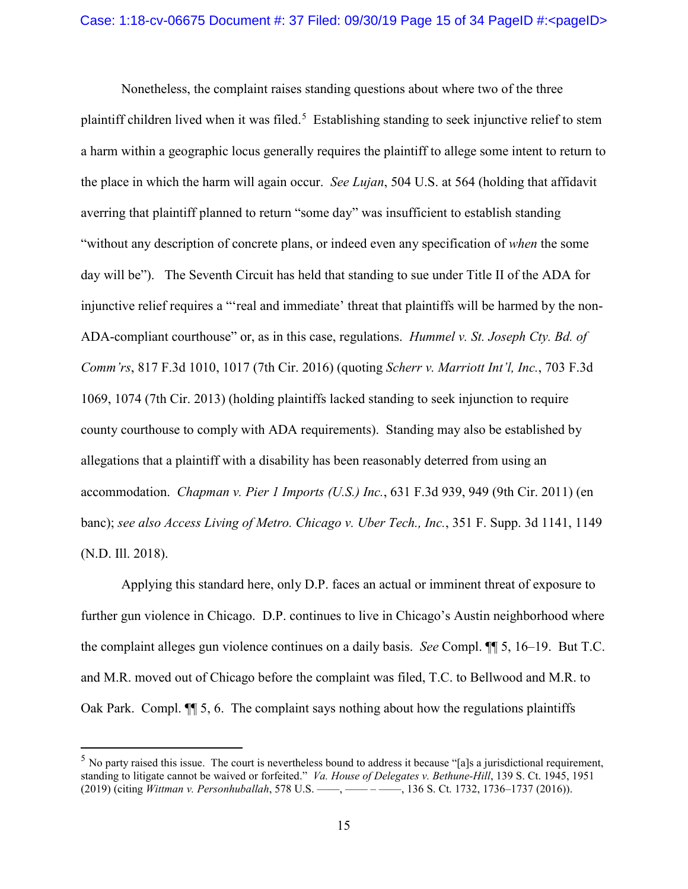Nonetheless, the complaint raises standing questions about where two of the three plaintiff children lived when it was filed.<sup>[5](#page-14-0)</sup> Establishing standing to seek injunctive relief to stem a harm within a geographic locus generally requires the plaintiff to allege some intent to return to the place in which the harm will again occur. *See Lujan*, 504 U.S. at 564 (holding that affidavit averring that plaintiff planned to return "some day" was insufficient to establish standing "without any description of concrete plans, or indeed even any specification of *when* the some day will be"). The Seventh Circuit has held that standing to sue under Title II of the ADA for injunctive relief requires a "'real and immediate' threat that plaintiffs will be harmed by the non-ADA-compliant courthouse" or, as in this case, regulations. *Hummel v. St. Joseph Cty. Bd. of Comm'rs*, 817 F.3d 1010, 1017 (7th Cir. 2016) (quoting *Scherr v. Marriott Int'l, Inc.*, 703 F.3d 1069, 1074 (7th Cir. 2013) (holding plaintiffs lacked standing to seek injunction to require county courthouse to comply with ADA requirements). Standing may also be established by allegations that a plaintiff with a disability has been reasonably deterred from using an accommodation. *Chapman v. Pier 1 Imports (U.S.) Inc.*, 631 F.3d 939, 949 (9th Cir. 2011) (en banc); *see also Access Living of Metro. Chicago v. Uber Tech., Inc.*, 351 F. Supp. 3d 1141, 1149 (N.D. Ill. 2018).

Applying this standard here, only D.P. faces an actual or imminent threat of exposure to further gun violence in Chicago. D.P. continues to live in Chicago's Austin neighborhood where the complaint alleges gun violence continues on a daily basis. *See* Compl. ¶¶ 5, 16–19. But T.C. and M.R. moved out of Chicago before the complaint was filed, T.C. to Bellwood and M.R. to Oak Park. Compl. ¶¶ 5, 6. The complaint says nothing about how the regulations plaintiffs

<span id="page-14-0"></span> $<sup>5</sup>$  No party raised this issue. The court is nevertheless bound to address it because "[a]s a jurisdictional requirement,</sup> standing to litigate cannot be waived or forfeited." *Va. House of Delegates v. Bethune-Hill*, 139 S. Ct. 1945, 1951 (2019) (citing *Wittman v. Personhuballah*, 578 U.S. ––––, –––– – ––––, 136 S. Ct. 1732, 1736–1737 (2016)).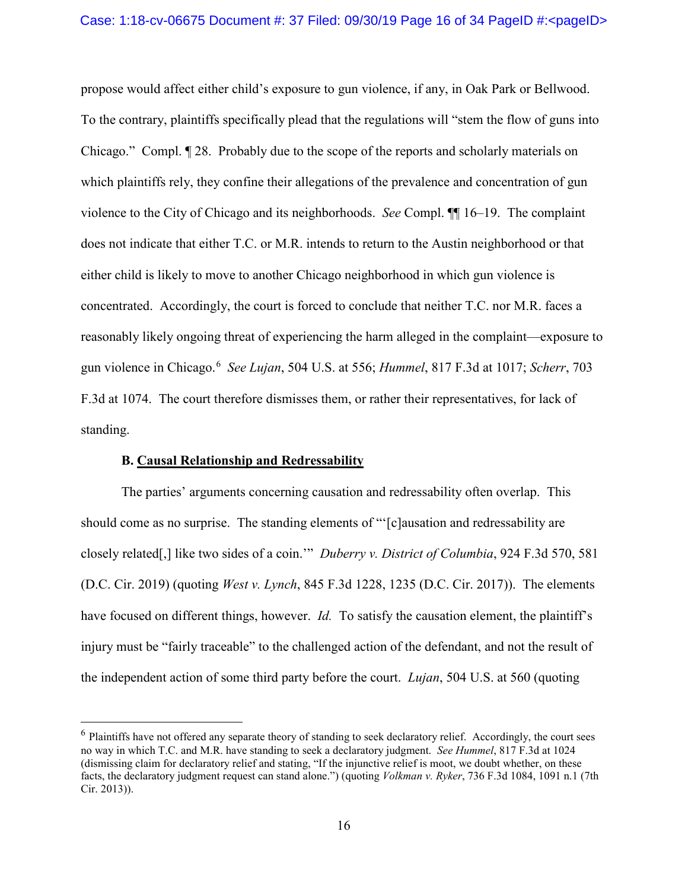propose would affect either child's exposure to gun violence, if any, in Oak Park or Bellwood. To the contrary, plaintiffs specifically plead that the regulations will "stem the flow of guns into Chicago." Compl. ¶ 28. Probably due to the scope of the reports and scholarly materials on which plaintiffs rely, they confine their allegations of the prevalence and concentration of gun violence to the City of Chicago and its neighborhoods. *See* Compl. ¶¶ 16–19. The complaint does not indicate that either T.C. or M.R. intends to return to the Austin neighborhood or that either child is likely to move to another Chicago neighborhood in which gun violence is concentrated. Accordingly, the court is forced to conclude that neither T.C. nor M.R. faces a reasonably likely ongoing threat of experiencing the harm alleged in the complaint—exposure to gun violence in Chicago.[6](#page-15-0) *See Lujan*, 504 U.S. at 556; *Hummel*, 817 F.3d at 1017; *Scherr*, 703 F.3d at 1074. The court therefore dismisses them, or rather their representatives, for lack of standing.

### **B. Causal Relationship and Redressability**

The parties' arguments concerning causation and redressability often overlap. This should come as no surprise. The standing elements of "'[c]ausation and redressability are closely related[,] like two sides of a coin.'" *Duberry v. District of Columbia*, 924 F.3d 570, 581 (D.C. Cir. 2019) (quoting *West v. Lynch*, 845 F.3d 1228, 1235 (D.C. Cir. 2017)). The elements have focused on different things, however. *Id.* To satisfy the causation element, the plaintiff's injury must be "fairly traceable" to the challenged action of the defendant, and not the result of the independent action of some third party before the court. *Lujan*, 504 U.S. at 560 (quoting

<span id="page-15-0"></span> $6$  Plaintiffs have not offered any separate theory of standing to seek declaratory relief. Accordingly, the court sees no way in which T.C. and M.R. have standing to seek a declaratory judgment. *See Hummel*, 817 F.3d at 1024 (dismissing claim for declaratory relief and stating, "If the injunctive relief is moot, we doubt whether, on these facts, the declaratory judgment request can stand alone.") (quoting *Volkman v. Ryker*, 736 F.3d 1084, 1091 n.1 (7th Cir. 2013)).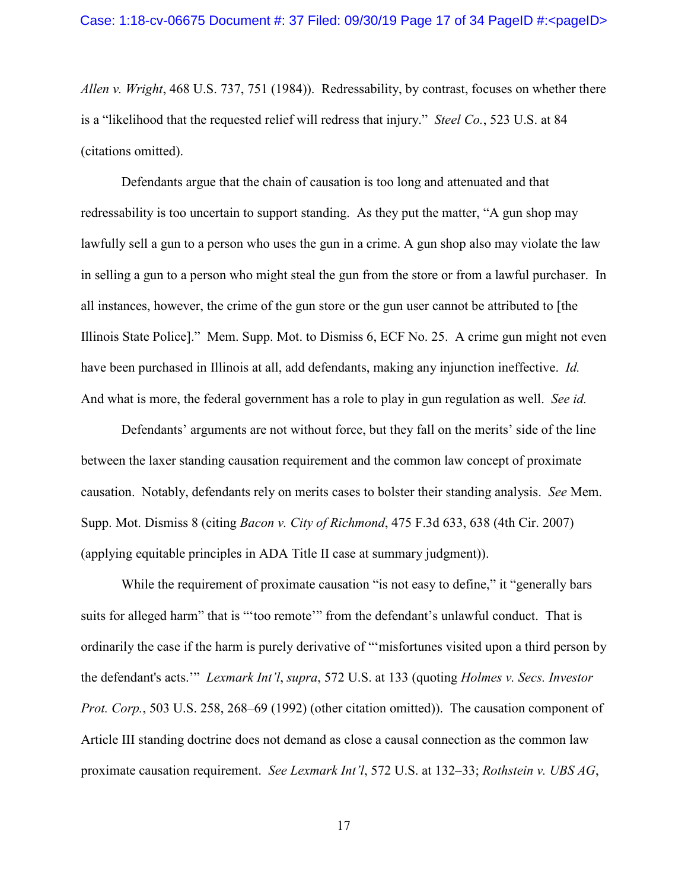*Allen v. Wright*, 468 U.S. 737, 751 (1984)). Redressability, by contrast, focuses on whether there is a "likelihood that the requested relief will redress that injury." *Steel Co.*, 523 U.S. at 84 (citations omitted).

Defendants argue that the chain of causation is too long and attenuated and that redressability is too uncertain to support standing. As they put the matter, "A gun shop may lawfully sell a gun to a person who uses the gun in a crime. A gun shop also may violate the law in selling a gun to a person who might steal the gun from the store or from a lawful purchaser. In all instances, however, the crime of the gun store or the gun user cannot be attributed to [the Illinois State Police]." Mem. Supp. Mot. to Dismiss 6, ECF No. 25. A crime gun might not even have been purchased in Illinois at all, add defendants, making any injunction ineffective. *Id.* And what is more, the federal government has a role to play in gun regulation as well. *See id.*

Defendants' arguments are not without force, but they fall on the merits' side of the line between the laxer standing causation requirement and the common law concept of proximate causation. Notably, defendants rely on merits cases to bolster their standing analysis. *See* Mem. Supp. Mot. Dismiss 8 (citing *Bacon v. City of Richmond*, 475 F.3d 633, 638 (4th Cir. 2007) (applying equitable principles in ADA Title II case at summary judgment)).

While the requirement of proximate causation "is not easy to define," it "generally bars" suits for alleged harm" that is "'too remote'" from the defendant's unlawful conduct. That is ordinarily the case if the harm is purely derivative of "'misfortunes visited upon a third person by the defendant's acts.'" *Lexmark Int'l*, *supra*, 572 U.S. at 133 (quoting *Holmes v. Secs. Investor Prot. Corp.*, 503 U.S. 258, 268–69 (1992) (other citation omitted)). The causation component of Article III standing doctrine does not demand as close a causal connection as the common law proximate causation requirement. *See Lexmark Int'l*, 572 U.S. at 132–33; *Rothstein v. UBS AG*,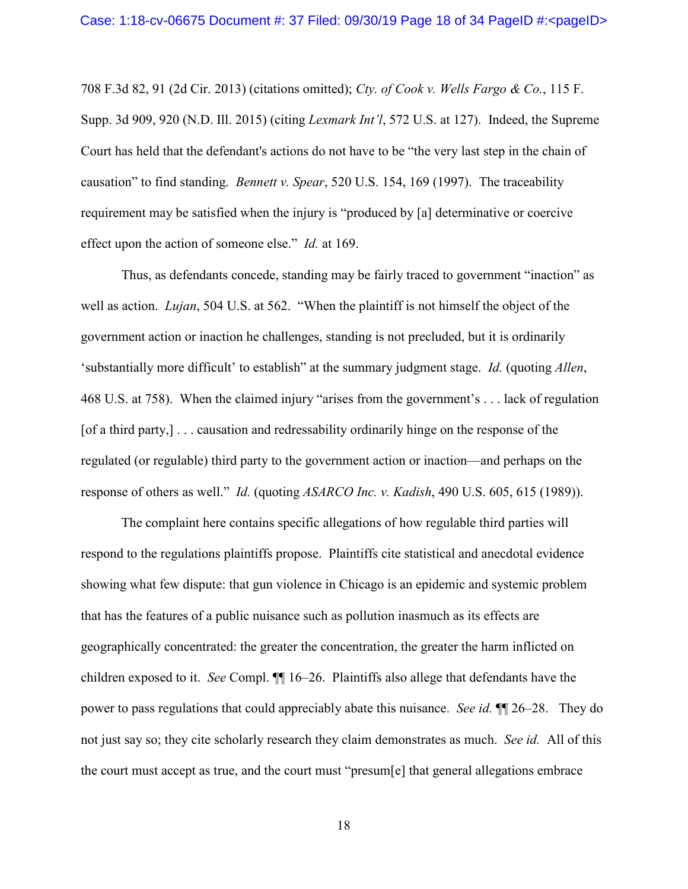708 F.3d 82, 91 (2d Cir. 2013) (citations omitted); *Cty. of Cook v. Wells Fargo & Co.*, 115 F. Supp. 3d 909, 920 (N.D. Ill. 2015) (citing *Lexmark Int'l*, 572 U.S. at 127). Indeed, the Supreme Court has held that the defendant's actions do not have to be "the very last step in the chain of causation" to find standing. *Bennett v. Spear*, 520 U.S. 154, 169 (1997). The traceability requirement may be satisfied when the injury is "produced by [a] determinative or coercive effect upon the action of someone else." *Id.* at 169.

Thus, as defendants concede, standing may be fairly traced to government "inaction" as well as action. *Lujan*, 504 U.S. at 562. "When the plaintiff is not himself the object of the government action or inaction he challenges, standing is not precluded, but it is ordinarily 'substantially more difficult' to establish" at the summary judgment stage. *Id.* (quoting *Allen*, 468 U.S. at 758). When the claimed injury "arises from the government's . . . lack of regulation [of a third party,] . . . causation and redressability ordinarily hinge on the response of the regulated (or regulable) third party to the government action or inaction—and perhaps on the response of others as well." *Id.* (quoting *ASARCO Inc. v. Kadish*, 490 U.S. 605, 615 (1989)).

The complaint here contains specific allegations of how regulable third parties will respond to the regulations plaintiffs propose. Plaintiffs cite statistical and anecdotal evidence showing what few dispute: that gun violence in Chicago is an epidemic and systemic problem that has the features of a public nuisance such as pollution inasmuch as its effects are geographically concentrated: the greater the concentration, the greater the harm inflicted on children exposed to it. *See* Compl. ¶¶ 16–26. Plaintiffs also allege that defendants have the power to pass regulations that could appreciably abate this nuisance. *See id.* ¶¶ 26–28. They do not just say so; they cite scholarly research they claim demonstrates as much. *See id.* All of this the court must accept as true, and the court must "presum[e] that general allegations embrace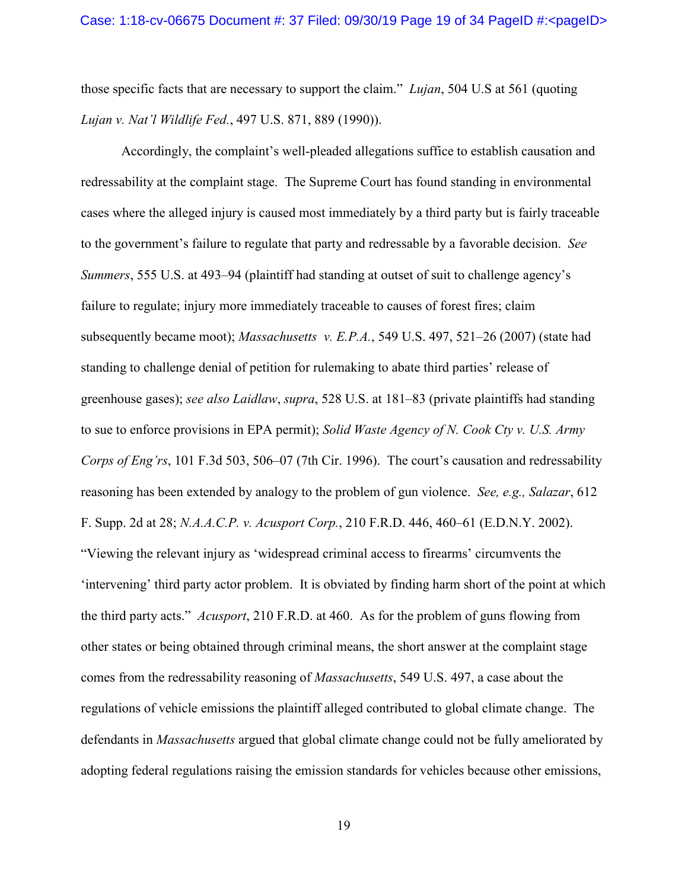those specific facts that are necessary to support the claim." *Lujan*, 504 U.S at 561 (quoting *Lujan v. Nat'l Wildlife Fed.*, 497 U.S. 871, 889 (1990)).

Accordingly, the complaint's well-pleaded allegations suffice to establish causation and redressability at the complaint stage. The Supreme Court has found standing in environmental cases where the alleged injury is caused most immediately by a third party but is fairly traceable to the government's failure to regulate that party and redressable by a favorable decision. *See Summers*, 555 U.S. at 493–94 (plaintiff had standing at outset of suit to challenge agency's failure to regulate; injury more immediately traceable to causes of forest fires; claim subsequently became moot); *Massachusetts v. E.P.A.*, 549 U.S. 497, 521–26 (2007) (state had standing to challenge denial of petition for rulemaking to abate third parties' release of greenhouse gases); *see also Laidlaw*, *supra*, 528 U.S. at 181–83 (private plaintiffs had standing to sue to enforce provisions in EPA permit); *Solid Waste Agency of N. Cook Cty v. U.S. Army Corps of Eng'rs*, 101 F.3d 503, 506–07 (7th Cir. 1996). The court's causation and redressability reasoning has been extended by analogy to the problem of gun violence. *See, e.g., Salazar*, 612 F. Supp. 2d at 28; *N.A.A.C.P. v. Acusport Corp.*, 210 F.R.D. 446, 460–61 (E.D.N.Y. 2002). "Viewing the relevant injury as 'widespread criminal access to firearms' circumvents the 'intervening' third party actor problem. It is obviated by finding harm short of the point at which the third party acts." *Acusport*, 210 F.R.D. at 460. As for the problem of guns flowing from other states or being obtained through criminal means, the short answer at the complaint stage comes from the redressability reasoning of *Massachusetts*, 549 U.S. 497, a case about the regulations of vehicle emissions the plaintiff alleged contributed to global climate change.The defendants in *Massachusetts* argued that global climate change could not be fully ameliorated by adopting federal regulations raising the emission standards for vehicles because other emissions,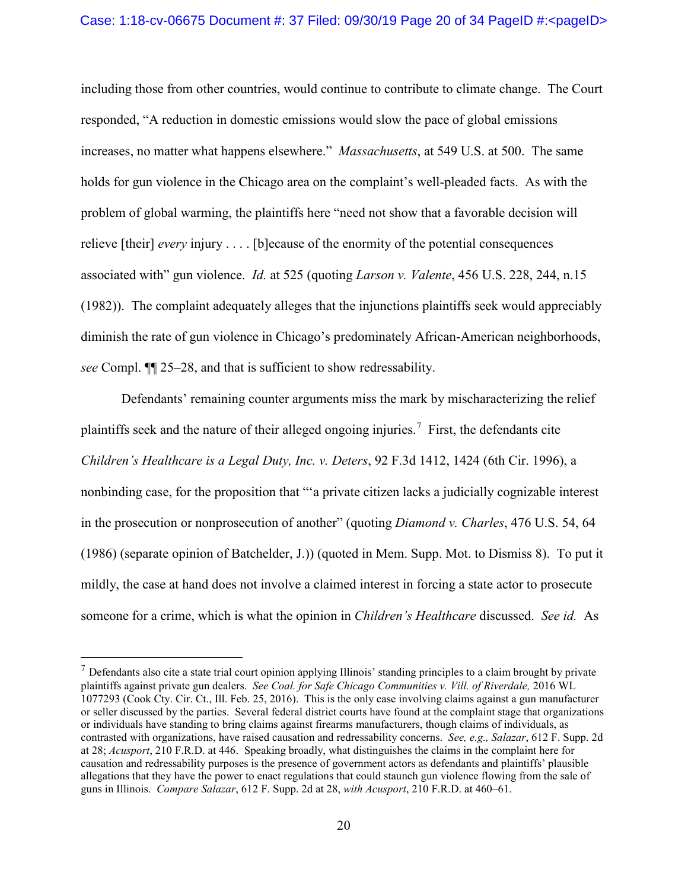including those from other countries, would continue to contribute to climate change. The Court responded, "A reduction in domestic emissions would slow the pace of global emissions increases, no matter what happens elsewhere." *Massachusetts*, at 549 U.S. at 500. The same holds for gun violence in the Chicago area on the complaint's well-pleaded facts. As with the problem of global warming, the plaintiffs here "need not show that a favorable decision will relieve [their] *every* injury . . . . [b]ecause of the enormity of the potential consequences associated with" gun violence. *Id.* at 525 (quoting *Larson v. Valente*, 456 U.S. 228, 244, n.15 (1982)). The complaint adequately alleges that the injunctions plaintiffs seek would appreciably diminish the rate of gun violence in Chicago's predominately African-American neighborhoods, *see* Compl. ¶¶ 25–28, and that is sufficient to show redressability.

Defendants' remaining counter arguments miss the mark by mischaracterizing the relief plaintiffs seek and the nature of their alleged ongoing injuries.<sup>[7](#page-19-0)</sup> First, the defendants cite *Children's Healthcare is a Legal Duty, Inc. v. Deters*, 92 F.3d 1412, 1424 (6th Cir. 1996), a nonbinding case, for the proposition that "'a private citizen lacks a judicially cognizable interest in the prosecution or nonprosecution of another" (quoting *Diamond v. Charles*, 476 U.S. 54, 64 (1986) (separate opinion of Batchelder, J.)) (quoted in Mem. Supp. Mot. to Dismiss 8). To put it mildly, the case at hand does not involve a claimed interest in forcing a state actor to prosecute someone for a crime, which is what the opinion in *Children's Healthcare* discussed. *See id.* As

<span id="page-19-0"></span> $<sup>7</sup>$  Defendants also cite a state trial court opinion applying Illinois' standing principles to a claim brought by private</sup> plaintiffs against private gun dealers. *See Coal. for Safe Chicago Communities v. Vill. of Riverdale,* 2016 WL 1077293 (Cook Cty. Cir. Ct., Ill. Feb. 25, 2016). This is the only case involving claims against a gun manufacturer or seller discussed by the parties. Several federal district courts have found at the complaint stage that organizations or individuals have standing to bring claims against firearms manufacturers, though claims of individuals, as contrasted with organizations, have raised causation and redressability concerns. *See, e.g., Salazar*, 612 F. Supp. 2d at 28; *Acusport*, 210 F.R.D. at 446. Speaking broadly, what distinguishes the claims in the complaint here for causation and redressability purposes is the presence of government actors as defendants and plaintiffs' plausible allegations that they have the power to enact regulations that could staunch gun violence flowing from the sale of guns in Illinois. *Compare Salazar*, 612 F. Supp. 2d at 28, *with Acusport*, 210 F.R.D. at 460–61.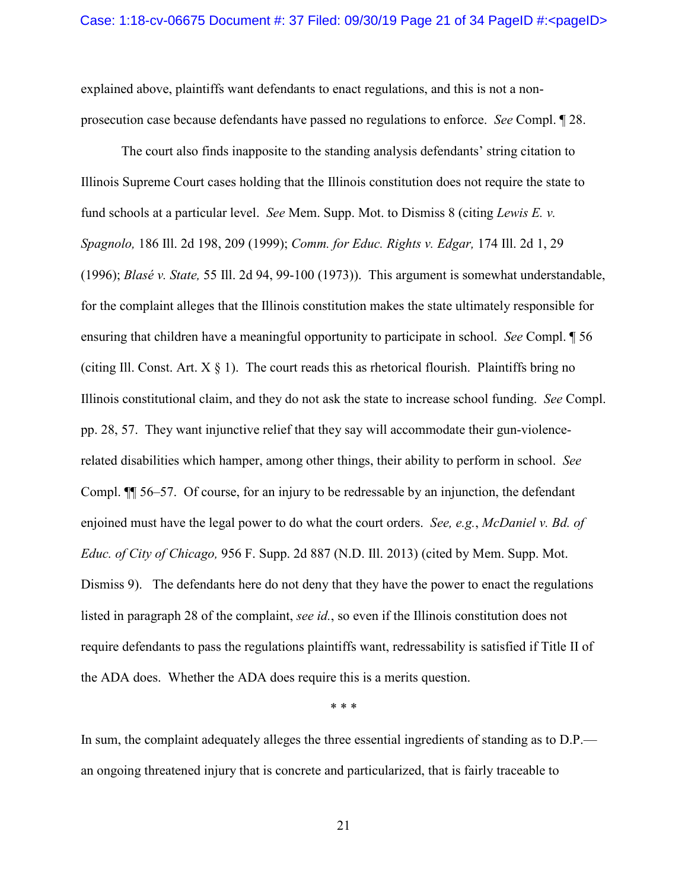explained above, plaintiffs want defendants to enact regulations, and this is not a nonprosecution case because defendants have passed no regulations to enforce. *See* Compl. ¶ 28.

The court also finds inapposite to the standing analysis defendants' string citation to Illinois Supreme Court cases holding that the Illinois constitution does not require the state to fund schools at a particular level. *See* Mem. Supp. Mot. to Dismiss 8 (citing *Lewis E. v. Spagnolo,* 186 Ill. 2d 198, 209 (1999); *Comm. for Educ. Rights v. Edgar,* 174 Ill. 2d 1, 29 (1996); *Blasé v. State,* 55 Ill. 2d 94, 99-100 (1973)). This argument is somewhat understandable, for the complaint alleges that the Illinois constitution makes the state ultimately responsible for ensuring that children have a meaningful opportunity to participate in school. *See* Compl. ¶ 56 (citing Ill. Const. Art.  $X \S 1$ ). The court reads this as rhetorical flourish. Plaintiffs bring no Illinois constitutional claim, and they do not ask the state to increase school funding. *See* Compl. pp. 28, 57. They want injunctive relief that they say will accommodate their gun-violencerelated disabilities which hamper, among other things, their ability to perform in school. *See* Compl. ¶¶ 56–57. Of course, for an injury to be redressable by an injunction, the defendant enjoined must have the legal power to do what the court orders. *See, e.g.*, *McDaniel v. Bd. of Educ. of City of Chicago,* 956 F. Supp. 2d 887 (N.D. Ill. 2013) (cited by Mem. Supp. Mot. Dismiss 9). The defendants here do not deny that they have the power to enact the regulations listed in paragraph 28 of the complaint, *see id.*, so even if the Illinois constitution does not require defendants to pass the regulations plaintiffs want, redressability is satisfied if Title II of the ADA does. Whether the ADA does require this is a merits question.

\* \* \*

In sum, the complaint adequately alleges the three essential ingredients of standing as to D.P. an ongoing threatened injury that is concrete and particularized, that is fairly traceable to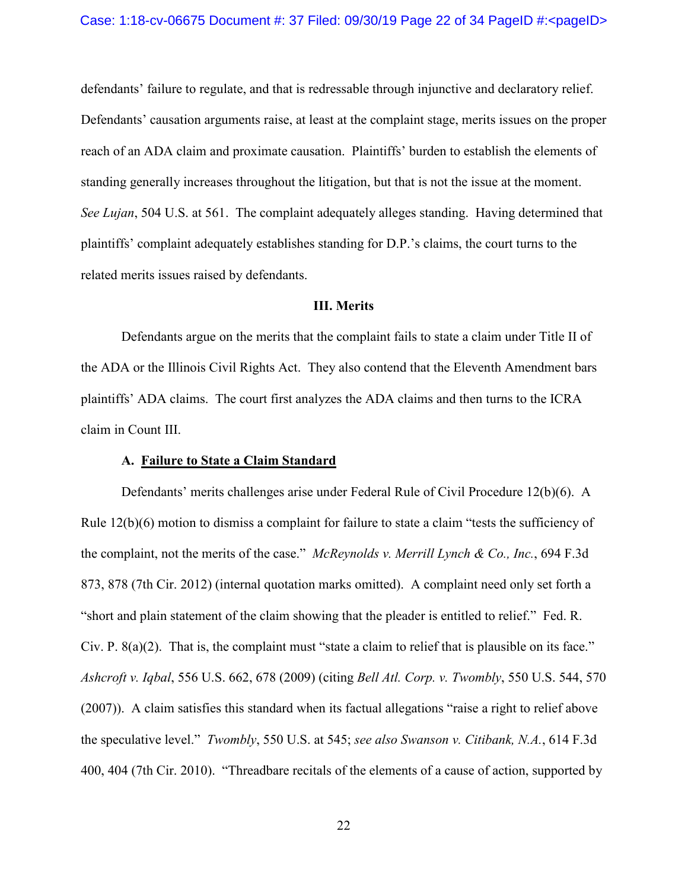#### Case: 1:18-cv-06675 Document #: 37 Filed: 09/30/19 Page 22 of 34 PageID #:<pageID>

defendants' failure to regulate, and that is redressable through injunctive and declaratory relief. Defendants' causation arguments raise, at least at the complaint stage, merits issues on the proper reach of an ADA claim and proximate causation. Plaintiffs' burden to establish the elements of standing generally increases throughout the litigation, but that is not the issue at the moment. *See Lujan*, 504 U.S. at 561. The complaint adequately alleges standing. Having determined that plaintiffs' complaint adequately establishes standing for D.P.'s claims, the court turns to the related merits issues raised by defendants.

### **III. Merits**

Defendants argue on the merits that the complaint fails to state a claim under Title II of the ADA or the Illinois Civil Rights Act. They also contend that the Eleventh Amendment bars plaintiffs' ADA claims. The court first analyzes the ADA claims and then turns to the ICRA claim in Count III.

#### **A. Failure to State a Claim Standard**

Defendants' merits challenges arise under Federal Rule of Civil Procedure 12(b)(6). A Rule 12(b)(6) motion to dismiss a complaint for failure to state a claim "tests the sufficiency of the complaint, not the merits of the case." *McReynolds v. Merrill Lynch & Co., Inc.*, 694 F.3d 873, 878 (7th Cir. 2012) (internal quotation marks omitted). A complaint need only set forth a "short and plain statement of the claim showing that the pleader is entitled to relief." Fed. R. Civ. P.  $8(a)(2)$ . That is, the complaint must "state a claim to relief that is plausible on its face." *Ashcroft v. Iqbal*, 556 U.S. 662, 678 (2009) (citing *Bell Atl. Corp. v. Twombly*, 550 U.S. 544, 570 (2007)). A claim satisfies this standard when its factual allegations "raise a right to relief above the speculative level." *Twombly*, 550 U.S. at 545; *see also Swanson v. Citibank, N.A.*, 614 F.3d 400, 404 (7th Cir. 2010). "Threadbare recitals of the elements of a cause of action, supported by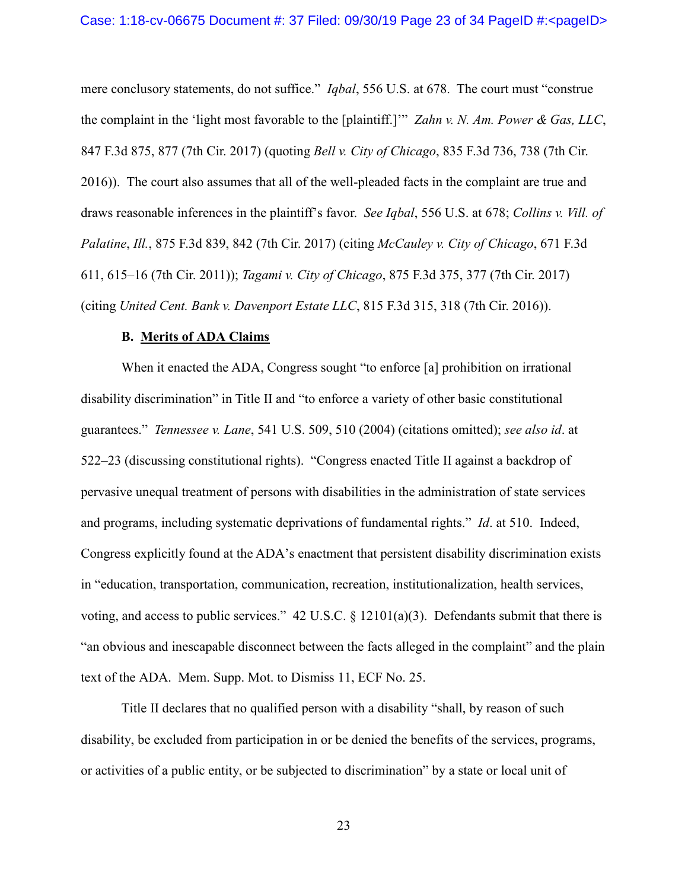mere conclusory statements, do not suffice." *Iqbal*, 556 U.S. at 678. The court must "construe the complaint in the 'light most favorable to the [plaintiff.]'" *Zahn v. N. Am. Power & Gas, LLC*, 847 F.3d 875, 877 (7th Cir. 2017) (quoting *Bell v. City of Chicago*, 835 F.3d 736, 738 (7th Cir. 2016)). The court also assumes that all of the well-pleaded facts in the complaint are true and draws reasonable inferences in the plaintiff's favor. *See Iqbal*, 556 U.S. at 678; *Collins v. Vill. of Palatine*, *Ill.*, 875 F.3d 839, 842 (7th Cir. 2017) (citing *McCauley v. City of Chicago*, 671 F.3d 611, 615–16 (7th Cir. 2011)); *Tagami v. City of Chicago*, 875 F.3d 375, 377 (7th Cir. 2017) (citing *United Cent. Bank v. Davenport Estate LLC*, 815 F.3d 315, 318 (7th Cir. 2016)).

### **B. Merits of ADA Claims**

When it enacted the ADA, Congress sought "to enforce [a] prohibition on irrational disability discrimination" in Title II and "to enforce a variety of other basic constitutional guarantees." *Tennessee v. Lane*, 541 U.S. 509, 510 (2004) (citations omitted); *see also id*. at 522–23 (discussing constitutional rights). "Congress enacted Title II against a backdrop of pervasive unequal treatment of persons with disabilities in the administration of state services and programs, including systematic deprivations of fundamental rights." *Id*. at 510. Indeed, Congress explicitly found at the ADA's enactment that persistent disability discrimination exists in "education, transportation, communication, recreation, institutionalization, health services, voting, and access to public services." 42 U.S.C. § 12101(a)(3). Defendants submit that there is "an obvious and inescapable disconnect between the facts alleged in the complaint" and the plain text of the ADA. Mem. Supp. Mot. to Dismiss 11, ECF No. 25.

Title II declares that no qualified person with a disability "shall, by reason of such disability, be excluded from participation in or be denied the benefits of the services, programs, or activities of a public entity, or be subjected to discrimination" by a state or local unit of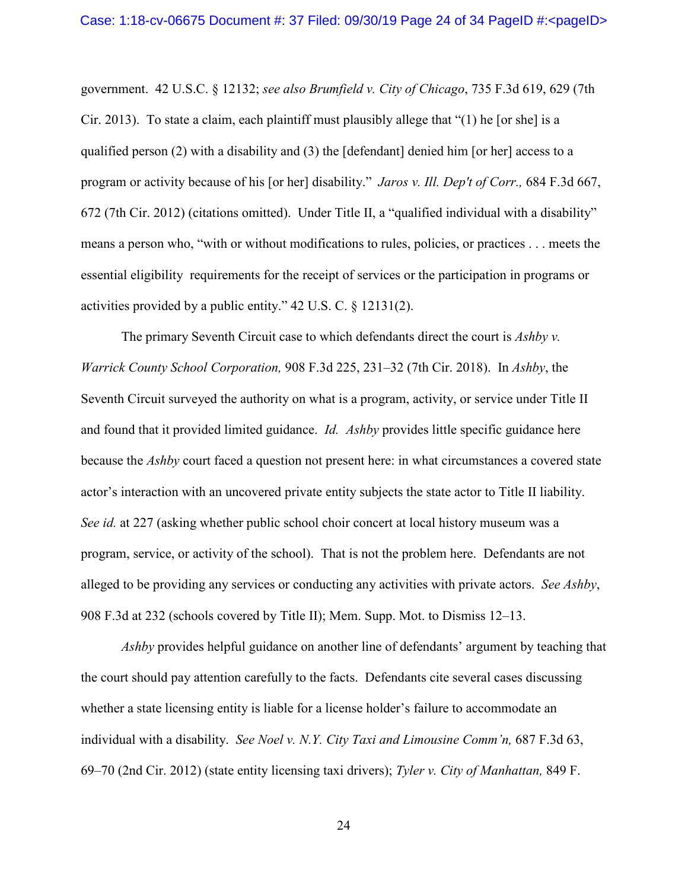government. 42 U.S.C. § 12132; *see also Brumfield v. City of Chicago*, 735 F.3d 619, 629 (7th Cir. 2013). To state a claim, each plaintiff must plausibly allege that "(1) he [or she] is a qualified person (2) with a disability and (3) the [defendant] denied him [or her] access to a program or activity because of his [or her] disability." *Jaros v. Ill. Dep't of Corr.,* 684 F.3d 667, 672 (7th Cir. 2012) (citations omitted). Under Title II, a "qualified individual with a disability" means a person who, "with or without modifications to rules, policies, or practices . . . meets the essential eligibility requirements for the receipt of services or the participation in programs or activities provided by a public entity." 42 U.S. C. § 12131(2).

The primary Seventh Circuit case to which defendants direct the court is *Ashby v. Warrick County School Corporation,* 908 F.3d 225, 231–32 (7th Cir. 2018). In *Ashby*, the Seventh Circuit surveyed the authority on what is a program, activity, or service under Title II and found that it provided limited guidance. *Id. Ashby* provides little specific guidance here because the *Ashby* court faced a question not present here: in what circumstances a covered state actor's interaction with an uncovered private entity subjects the state actor to Title II liability. *See id.* at 227 (asking whether public school choir concert at local history museum was a program, service, or activity of the school). That is not the problem here. Defendants are not alleged to be providing any services or conducting any activities with private actors. *See Ashby*, 908 F.3d at 232 (schools covered by Title II); Mem. Supp. Mot. to Dismiss 12–13.

*Ashby* provides helpful guidance on another line of defendants' argument by teaching that the court should pay attention carefully to the facts. Defendants cite several cases discussing whether a state licensing entity is liable for a license holder's failure to accommodate an individual with a disability. *See Noel v. N.Y. City Taxi and Limousine Comm'n,* 687 F.3d 63, 69–70 (2nd Cir. 2012) (state entity licensing taxi drivers); *Tyler v. City of Manhattan,* 849 F.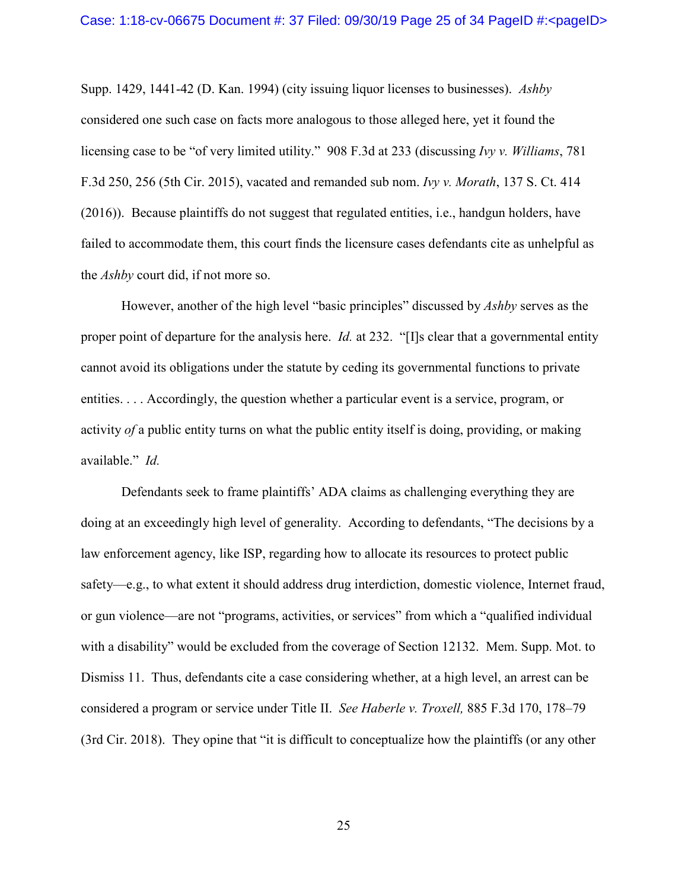Supp. 1429, 1441-42 (D. Kan. 1994) (city issuing liquor licenses to businesses). *Ashby* considered one such case on facts more analogous to those alleged here, yet it found the licensing case to be "of very limited utility." 908 F.3d at 233 (discussing *Ivy v. Williams*, 781 F.3d 250, 256 (5th Cir. 2015), vacated and remanded sub nom. *Ivy v. Morath*, 137 S. Ct. 414 (2016)). Because plaintiffs do not suggest that regulated entities, i.e., handgun holders, have failed to accommodate them, this court finds the licensure cases defendants cite as unhelpful as the *Ashby* court did, if not more so.

However, another of the high level "basic principles" discussed by *Ashby* serves as the proper point of departure for the analysis here. *Id.* at 232. "[I]s clear that a governmental entity cannot avoid its obligations under the statute by ceding its governmental functions to private entities. . . . Accordingly, the question whether a particular event is a service, program, or activity *of* a public entity turns on what the public entity itself is doing, providing, or making available." *Id.*

Defendants seek to frame plaintiffs' ADA claims as challenging everything they are doing at an exceedingly high level of generality. According to defendants, "The decisions by a law enforcement agency, like ISP, regarding how to allocate its resources to protect public safety—e.g., to what extent it should address drug interdiction, domestic violence, Internet fraud, or gun violence—are not "programs, activities, or services" from which a "qualified individual with a disability" would be excluded from the coverage of Section 12132. Mem. Supp. Mot. to Dismiss 11. Thus, defendants cite a case considering whether, at a high level, an arrest can be considered a program or service under Title II. *See Haberle v. Troxell,* 885 F.3d 170, 178–79 (3rd Cir. 2018). They opine that "it is difficult to conceptualize how the plaintiffs (or any other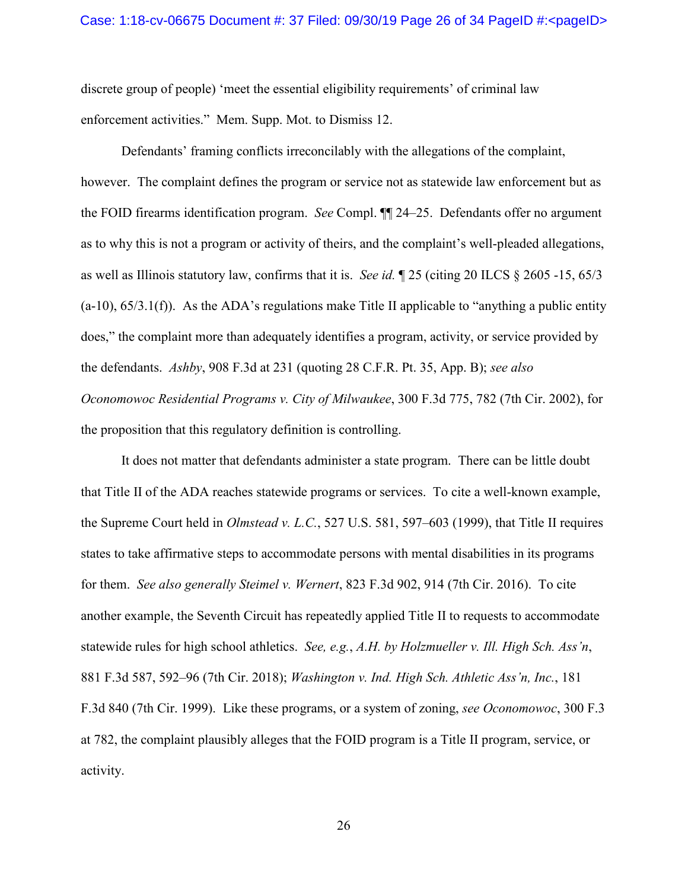discrete group of people) 'meet the essential eligibility requirements' of criminal law enforcement activities." Mem. Supp. Mot. to Dismiss 12.

Defendants' framing conflicts irreconcilably with the allegations of the complaint, however. The complaint defines the program or service not as statewide law enforcement but as the FOID firearms identification program. *See* Compl. ¶¶ 24–25. Defendants offer no argument as to why this is not a program or activity of theirs, and the complaint's well-pleaded allegations, as well as Illinois statutory law, confirms that it is. *See id.* ¶ 25 (citing 20 ILCS § 2605 -15, 65/3  $(a-10)$ ,  $(5/3.1(f))$ . As the ADA's regulations make Title II applicable to "anything a public entity" does," the complaint more than adequately identifies a program, activity, or service provided by the defendants. *Ashby*, 908 F.3d at 231 (quoting 28 C.F.R. Pt. 35, App. B); *see also Oconomowoc Residential Programs v. City of Milwaukee*, 300 F.3d 775, 782 (7th Cir. 2002), for the proposition that this regulatory definition is controlling.

It does not matter that defendants administer a state program. There can be little doubt that Title II of the ADA reaches statewide programs or services. To cite a well-known example, the Supreme Court held in *Olmstead v. L.C.*, 527 U.S. 581, 597–603 (1999), that Title II requires states to take affirmative steps to accommodate persons with mental disabilities in its programs for them. *See also generally Steimel v. Wernert*, 823 F.3d 902, 914 (7th Cir. 2016). To cite another example, the Seventh Circuit has repeatedly applied Title II to requests to accommodate statewide rules for high school athletics. *See, e.g.*, *A.H. by Holzmueller v. Ill. High Sch. Ass'n*, 881 F.3d 587, 592–96 (7th Cir. 2018); *Washington v. Ind. High Sch. Athletic Ass'n, Inc.*, 181 F.3d 840 (7th Cir. 1999). Like these programs, or a system of zoning, *see Oconomowoc*, 300 F.3 at 782, the complaint plausibly alleges that the FOID program is a Title II program, service, or activity.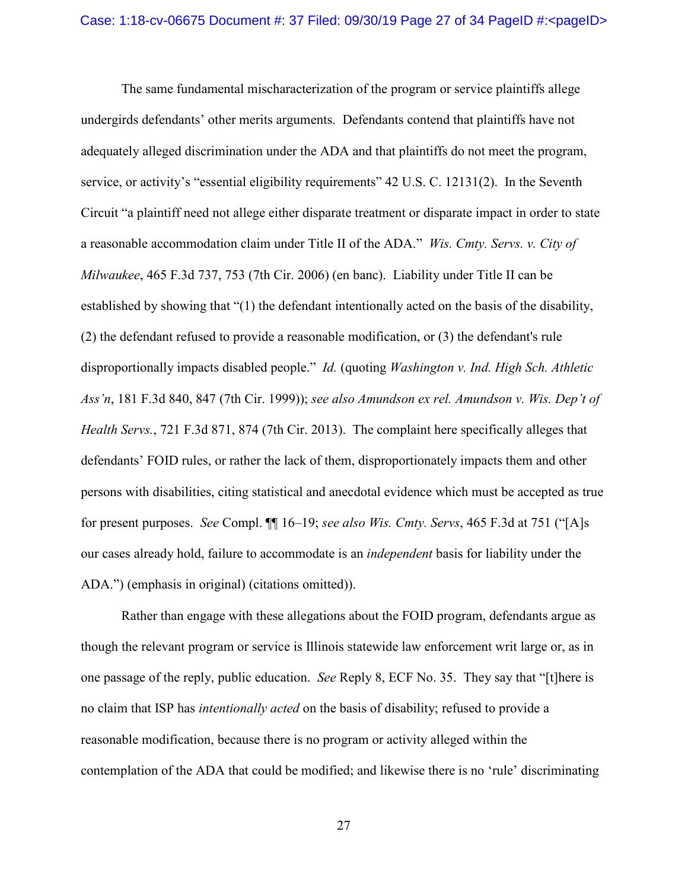The same fundamental mischaracterization of the program or service plaintiffs allege undergirds defendants' other merits arguments. Defendants contend that plaintiffs have not adequately alleged discrimination under the ADA and that plaintiffs do not meet the program, service, or activity's "essential eligibility requirements" 42 U.S. C. 12131(2). In the Seventh Circuit "a plaintiff need not allege either disparate treatment or disparate impact in order to state a reasonable accommodation claim under Title II of the ADA." *Wis. Cmty. Servs. v. City of Milwaukee*, 465 F.3d 737, 753 (7th Cir. 2006) (en banc). Liability under Title II can be established by showing that "(1) the defendant intentionally acted on the basis of the disability, (2) the defendant refused to provide a reasonable modification, or (3) the defendant's rule disproportionally impacts disabled people." *Id.* (quoting *Washington v. Ind. High Sch. Athletic Ass'n*, 181 F.3d 840, 847 (7th Cir. 1999)); *see also Amundson ex rel. Amundson v. Wis. Dep't of Health Servs.*, 721 F.3d 871, 874 (7th Cir. 2013). The complaint here specifically alleges that defendants' FOID rules, or rather the lack of them, disproportionately impacts them and other persons with disabilities, citing statistical and anecdotal evidence which must be accepted as true for present purposes. *See* Compl. ¶¶ 16–19; *see also Wis. Cmty. Servs*, 465 F.3d at 751 ("[A]s our cases already hold, failure to accommodate is an *independent* basis for liability under the ADA.") (emphasis in original) (citations omitted)).

Rather than engage with these allegations about the FOID program, defendants argue as though the relevant program or service is Illinois statewide law enforcement writ large or, as in one passage of the reply, public education. *See* Reply 8, ECF No. 35. They say that "[t]here is no claim that ISP has *intentionally acted* on the basis of disability; refused to provide a reasonable modification, because there is no program or activity alleged within the contemplation of the ADA that could be modified; and likewise there is no 'rule' discriminating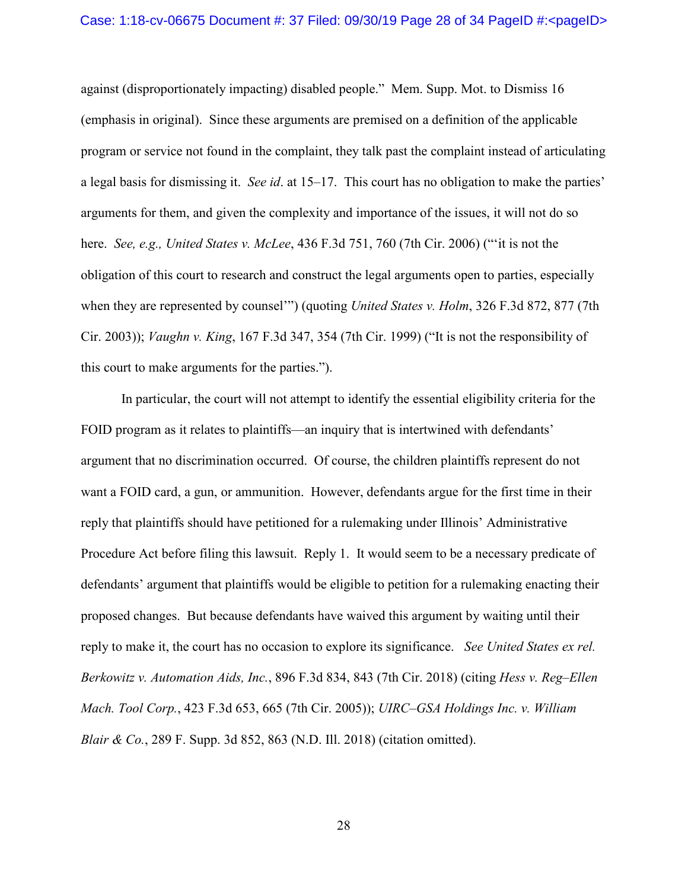against (disproportionately impacting) disabled people." Mem. Supp. Mot. to Dismiss 16 (emphasis in original). Since these arguments are premised on a definition of the applicable program or service not found in the complaint, they talk past the complaint instead of articulating a legal basis for dismissing it. *See id*. at 15–17. This court has no obligation to make the parties' arguments for them, and given the complexity and importance of the issues, it will not do so here. *See, e.g., United States v. McLee*, 436 F.3d 751, 760 (7th Cir. 2006) ("'it is not the obligation of this court to research and construct the legal arguments open to parties, especially when they are represented by counsel'") (quoting *United States v. Holm*, 326 F.3d 872, 877 (7th Cir. 2003)); *Vaughn v. King*, 167 F.3d 347, 354 (7th Cir. 1999) ("It is not the responsibility of this court to make arguments for the parties.").

In particular, the court will not attempt to identify the essential eligibility criteria for the FOID program as it relates to plaintiffs—an inquiry that is intertwined with defendants' argument that no discrimination occurred. Of course, the children plaintiffs represent do not want a FOID card, a gun, or ammunition. However, defendants argue for the first time in their reply that plaintiffs should have petitioned for a rulemaking under Illinois' Administrative Procedure Act before filing this lawsuit. Reply 1. It would seem to be a necessary predicate of defendants' argument that plaintiffs would be eligible to petition for a rulemaking enacting their proposed changes. But because defendants have waived this argument by waiting until their reply to make it, the court has no occasion to explore its significance. *See United States ex rel. Berkowitz v. Automation Aids, Inc.*, 896 F.3d 834, 843 (7th Cir. 2018) (citing *Hess v. Reg–Ellen Mach. Tool Corp.*, 423 F.3d 653, 665 (7th Cir. 2005)); *UIRC–GSA Holdings Inc. v. William Blair & Co.*, 289 F. Supp. 3d 852, 863 (N.D. Ill. 2018) (citation omitted).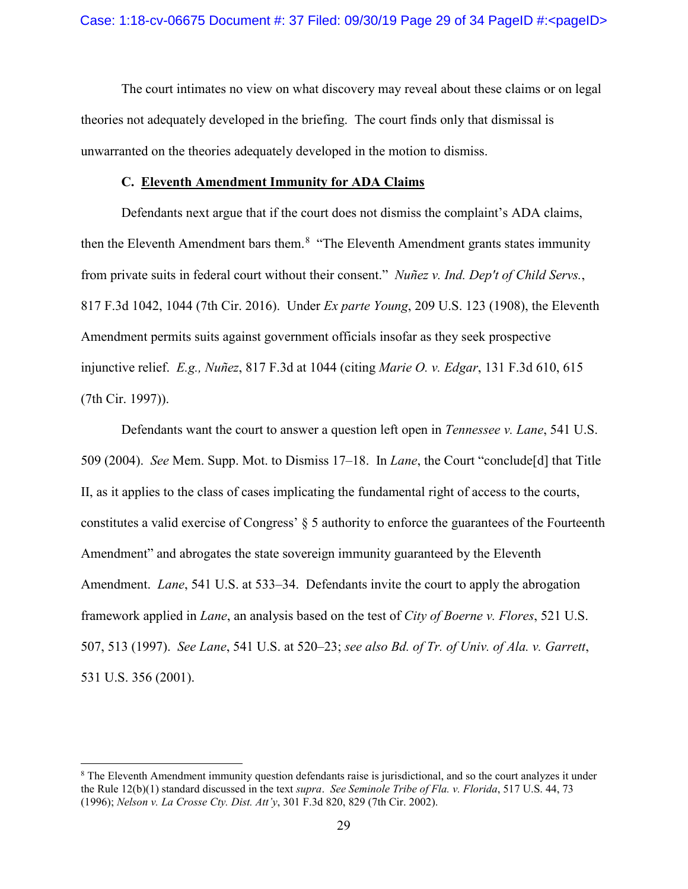The court intimates no view on what discovery may reveal about these claims or on legal theories not adequately developed in the briefing. The court finds only that dismissal is unwarranted on the theories adequately developed in the motion to dismiss.

#### **C. Eleventh Amendment Immunity for ADA Claims**

Defendants next argue that if the court does not dismiss the complaint's ADA claims, then the Eleventh Amendment bars them.<sup>[8](#page-28-0)</sup> "The Eleventh Amendment grants states immunity from private suits in federal court without their consent." *Nuñez v. Ind. Dep't of Child Servs.*, 817 F.3d 1042, 1044 (7th Cir. 2016). Under *Ex parte Young*, 209 U.S. 123 (1908), the Eleventh Amendment permits suits against government officials insofar as they seek prospective injunctive relief. *E.g., Nuñez*, 817 F.3d at 1044 (citing *Marie O. v. Edgar*, 131 F.3d 610, 615 (7th Cir. 1997)).

Defendants want the court to answer a question left open in *Tennessee v. Lane*, 541 U.S. 509 (2004). *See* Mem. Supp. Mot. to Dismiss 17–18. In *Lane*, the Court "conclude[d] that Title II, as it applies to the class of cases implicating the fundamental right of access to the courts, constitutes a valid exercise of Congress' § 5 authority to enforce the guarantees of the Fourteenth Amendment" and abrogates the state sovereign immunity guaranteed by the Eleventh Amendment. *Lane*, 541 U.S. at 533–34. Defendants invite the court to apply the abrogation framework applied in *Lane*, an analysis based on the test of *City of Boerne v. Flores*, 521 U.S. 507, 513 (1997). *See Lane*, 541 U.S. at 520–23; *see also Bd. of Tr. of Univ. of Ala. v. Garrett*, 531 U.S. 356 (2001).

<span id="page-28-0"></span><sup>&</sup>lt;sup>8</sup> The Eleventh Amendment immunity question defendants raise is jurisdictional, and so the court analyzes it under the Rule 12(b)(1) standard discussed in the text *supra*. *See Seminole Tribe of Fla. v. Florida*, 517 U.S. 44, 73 (1996); *Nelson v. La Crosse Cty. Dist. Att'y*, 301 F.3d 820, 829 (7th Cir. 2002).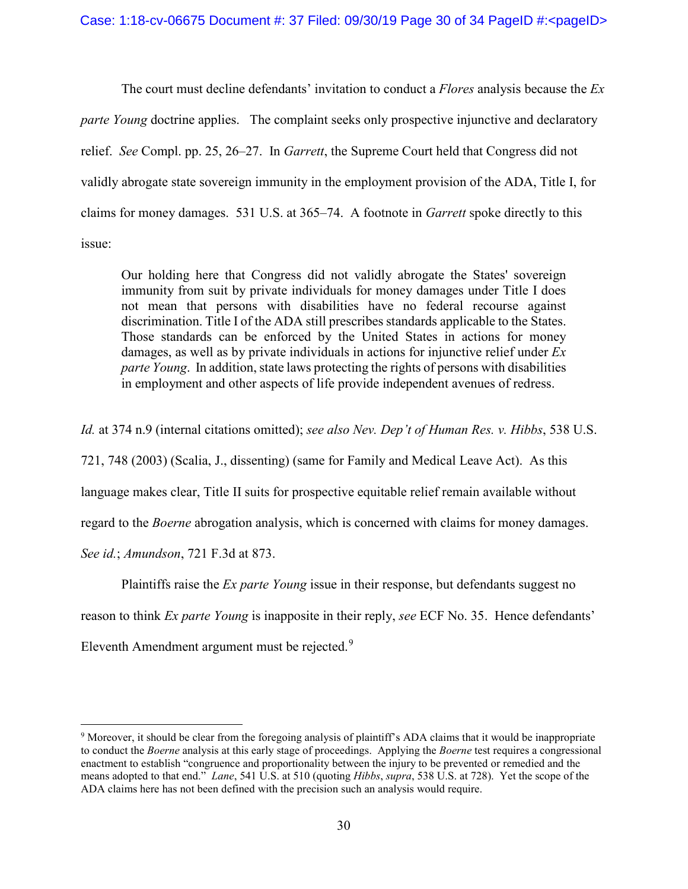The court must decline defendants' invitation to conduct a *Flores* analysis because the *Ex parte Young* doctrine applies. The complaint seeks only prospective injunctive and declaratory relief. *See* Compl. pp. 25, 26–27. In *Garrett*, the Supreme Court held that Congress did not validly abrogate state sovereign immunity in the employment provision of the ADA, Title I, for claims for money damages. 531 U.S. at 365–74. A footnote in *Garrett* spoke directly to this issue:

Our holding here that Congress did not validly abrogate the States' sovereign immunity from suit by private individuals for money damages under Title I does not mean that persons with disabilities have no federal recourse against discrimination. Title I of the ADA still prescribes standards applicable to the States. Those standards can be enforced by the United States in actions for money damages, as well as by private individuals in actions for injunctive relief under *Ex parte Young*. In addition, state laws protecting the rights of persons with disabilities in employment and other aspects of life provide independent avenues of redress.

*Id.* at 374 n.9 (internal citations omitted); *see also Nev. Dep't of Human Res. v. Hibbs*, 538 U.S.

721, 748 (2003) (Scalia, J., dissenting) (same for Family and Medical Leave Act). As this language makes clear, Title II suits for prospective equitable relief remain available without

regard to the *Boerne* abrogation analysis, which is concerned with claims for money damages.

*See id.*; *Amundson*, 721 F.3d at 873.

Plaintiffs raise the *Ex parte Young* issue in their response, but defendants suggest no reason to think *Ex parte Young* is inapposite in their reply, *see* ECF No. 35. Hence defendants' Eleventh Amendment argument must be rejected.<sup>[9](#page-29-0)</sup>

<span id="page-29-0"></span> <sup>9</sup> Moreover, it should be clear from the foregoing analysis of plaintiff's ADA claims that it would be inappropriate to conduct the *Boerne* analysis at this early stage of proceedings. Applying the *Boerne* test requires a congressional enactment to establish "congruence and proportionality between the injury to be prevented or remedied and the means adopted to that end." *Lane*, 541 U.S. at 510 (quoting *Hibbs*, *supra*, 538 U.S. at 728). Yet the scope of the ADA claims here has not been defined with the precision such an analysis would require.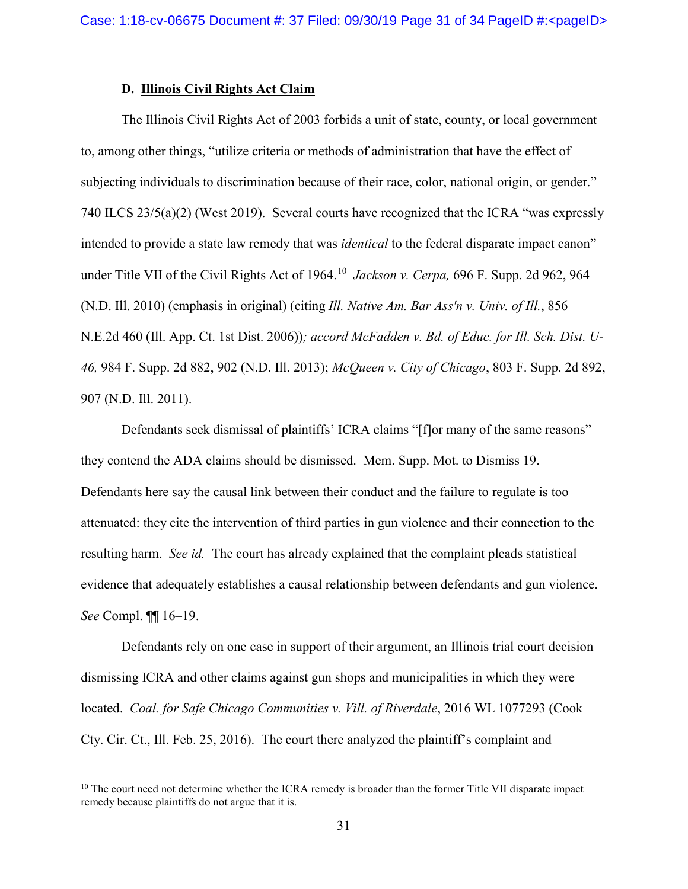### **D. Illinois Civil Rights Act Claim**

The Illinois Civil Rights Act of 2003 forbids a unit of state, county, or local government to, among other things, "utilize criteria or methods of administration that have the effect of subjecting individuals to discrimination because of their race, color, national origin, or gender." 740 ILCS 23/5(a)(2) (West 2019). Several courts have recognized that the ICRA "was expressly intended to provide a state law remedy that was *identical* to the federal disparate impact canon" under Title VII of the Civil Rights Act of 1964.<sup>[10](#page-30-0)</sup> Jackson v. Cerpa, 696 F. Supp. 2d 962, 964 (N.D. Ill. 2010) (emphasis in original) (citing *Ill. Native Am. Bar Ass'n v. Univ. of Ill.*, 856 N.E.2d 460 (Ill. App. Ct. 1st Dist. 2006))*; accord McFadden v. Bd. of Educ. for Ill. Sch. Dist. U-46,* 984 F. Supp. 2d 882, 902 (N.D. Ill. 2013); *McQueen v. City of Chicago*, 803 F. Supp. 2d 892, 907 (N.D. Ill. 2011).

Defendants seek dismissal of plaintiffs' ICRA claims "[f]or many of the same reasons" they contend the ADA claims should be dismissed. Mem. Supp. Mot. to Dismiss 19. Defendants here say the causal link between their conduct and the failure to regulate is too attenuated: they cite the intervention of third parties in gun violence and their connection to the resulting harm. *See id.* The court has already explained that the complaint pleads statistical evidence that adequately establishes a causal relationship between defendants and gun violence. *See* Compl. ¶¶ 16–19.

Defendants rely on one case in support of their argument, an Illinois trial court decision dismissing ICRA and other claims against gun shops and municipalities in which they were located. *Coal. for Safe Chicago Communities v. Vill. of Riverdale*, 2016 WL 1077293 (Cook Cty. Cir. Ct., Ill. Feb. 25, 2016). The court there analyzed the plaintiff's complaint and

<span id="page-30-0"></span> $10$  The court need not determine whether the ICRA remedy is broader than the former Title VII disparate impact remedy because plaintiffs do not argue that it is.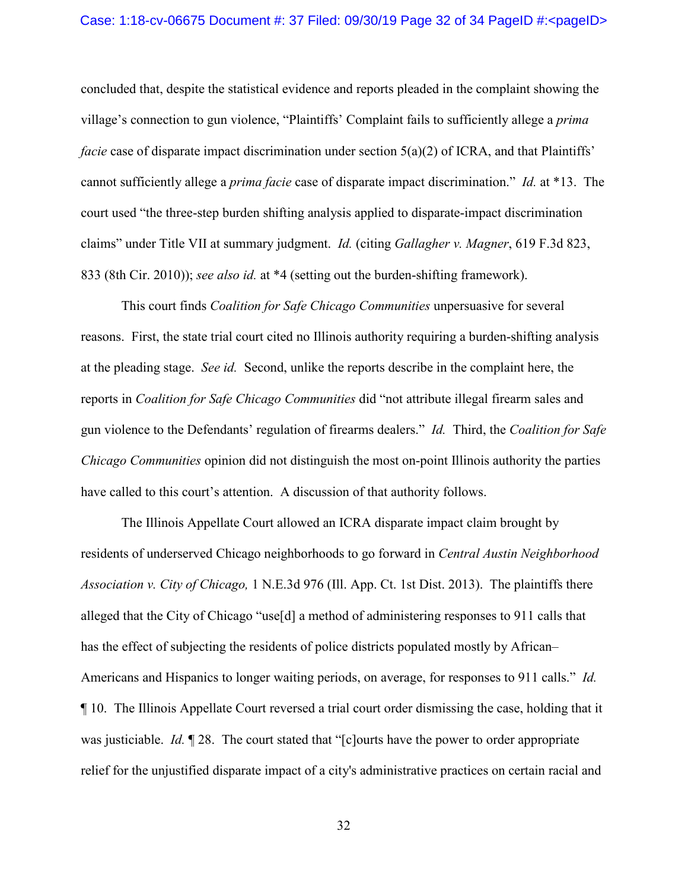concluded that, despite the statistical evidence and reports pleaded in the complaint showing the village's connection to gun violence, "Plaintiffs' Complaint fails to sufficiently allege a *prima facie* case of disparate impact discrimination under section 5(a)(2) of ICRA, and that Plaintiffs' cannot sufficiently allege a *prima facie* case of disparate impact discrimination." *Id.* at \*13. The court used "the three-step burden shifting analysis applied to disparate-impact discrimination claims" under Title VII at summary judgment. *Id.* (citing *Gallagher v. Magner*, 619 F.3d 823, 833 (8th Cir. 2010)); *see also id.* at \*4 (setting out the burden-shifting framework).

This court finds *Coalition for Safe Chicago Communities* unpersuasive for several reasons. First, the state trial court cited no Illinois authority requiring a burden-shifting analysis at the pleading stage. *See id.* Second, unlike the reports describe in the complaint here, the reports in *Coalition for Safe Chicago Communities* did "not attribute illegal firearm sales and gun violence to the Defendants' regulation of firearms dealers." *Id.* Third, the *Coalition for Safe Chicago Communities* opinion did not distinguish the most on-point Illinois authority the parties have called to this court's attention. A discussion of that authority follows.

The Illinois Appellate Court allowed an ICRA disparate impact claim brought by residents of underserved Chicago neighborhoods to go forward in *Central Austin Neighborhood Association v. City of Chicago,* 1 N.E.3d 976 (Ill. App. Ct. 1st Dist. 2013). The plaintiffs there alleged that the City of Chicago "use[d] a method of administering responses to 911 calls that has the effect of subjecting the residents of police districts populated mostly by African– Americans and Hispanics to longer waiting periods, on average, for responses to 911 calls." *Id.* ¶ 10. The Illinois Appellate Court reversed a trial court order dismissing the case, holding that it was justiciable. *Id.* 128. The court stated that "[c]ourts have the power to order appropriate relief for the unjustified disparate impact of a city's administrative practices on certain racial and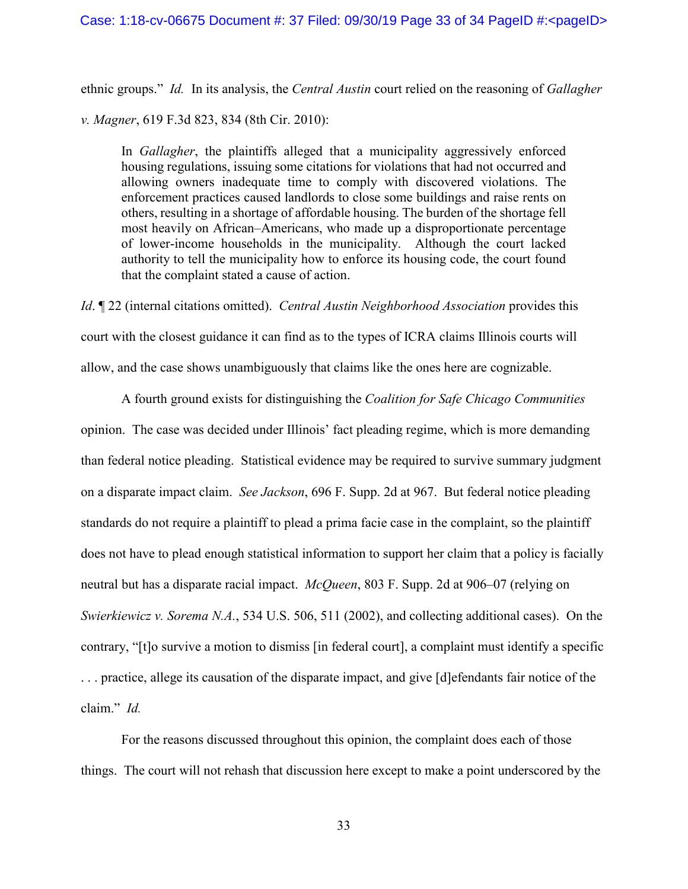ethnic groups." *Id.* In its analysis, the *Central Austin* court relied on the reasoning of *Gallagher v. Magner*, 619 F.3d 823, 834 (8th Cir. 2010):

In *Gallagher*, the plaintiffs alleged that a municipality aggressively enforced housing regulations, issuing some citations for violations that had not occurred and allowing owners inadequate time to comply with discovered violations. The enforcement practices caused landlords to close some buildings and raise rents on others, resulting in a shortage of affordable housing. The burden of the shortage fell most heavily on African–Americans, who made up a disproportionate percentage of lower-income households in the municipality. Although the court lacked authority to tell the municipality how to enforce its housing code, the court found that the complaint stated a cause of action.

*Id*. ¶ 22 (internal citations omitted). *Central Austin Neighborhood Association* provides this court with the closest guidance it can find as to the types of ICRA claims Illinois courts will allow, and the case shows unambiguously that claims like the ones here are cognizable.

A fourth ground exists for distinguishing the *Coalition for Safe Chicago Communities*  opinion. The case was decided under Illinois' fact pleading regime, which is more demanding than federal notice pleading. Statistical evidence may be required to survive summary judgment on a disparate impact claim. *See Jackson*, 696 F. Supp. 2d at 967. But federal notice pleading standards do not require a plaintiff to plead a prima facie case in the complaint, so the plaintiff does not have to plead enough statistical information to support her claim that a policy is facially neutral but has a disparate racial impact. *McQueen*, 803 F. Supp. 2d at 906–07 (relying on *Swierkiewicz v. Sorema N.A.*, 534 U.S. 506, 511 (2002), and collecting additional cases). On the contrary, "[t]o survive a motion to dismiss [in federal court], a complaint must identify a specific . . . practice, allege its causation of the disparate impact, and give [d]efendants fair notice of the claim." *Id.*

For the reasons discussed throughout this opinion, the complaint does each of those things. The court will not rehash that discussion here except to make a point underscored by the